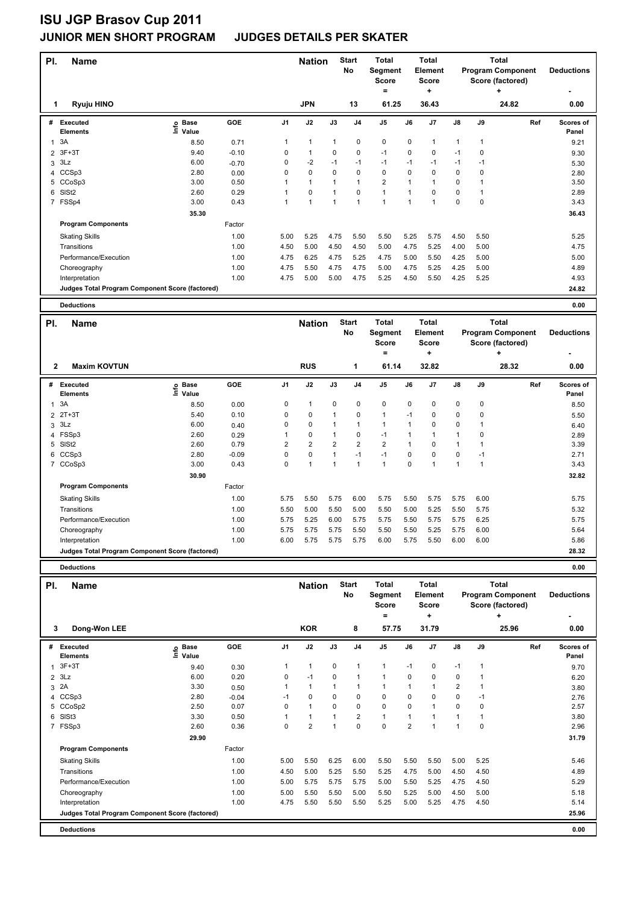# **ISU JGP Brasov Cup 2011**

### **JUNIOR MEN SHORT PROGRAM JUDGES DETAILS PER SKATER**

| PI.            | <b>Name</b>                                     |                            |            |                | <b>Nation</b>           |                | <b>Start</b><br>No | <b>Total</b><br>Segment<br><b>Score</b><br>$=$ |              | <b>Total</b><br>Element<br><b>Score</b><br>÷ |              |              | <b>Total</b><br><b>Program Component</b><br>Score (factored)<br>٠ | <b>Deductions</b>  |
|----------------|-------------------------------------------------|----------------------------|------------|----------------|-------------------------|----------------|--------------------|------------------------------------------------|--------------|----------------------------------------------|--------------|--------------|-------------------------------------------------------------------|--------------------|
|                | Ryuju HINO<br>1                                 |                            |            |                | <b>JPN</b>              |                | 13                 | 61.25                                          |              | 36.43                                        |              |              | 24.82                                                             | 0.00               |
| #              | <b>Executed</b><br><b>Elements</b>              | <b>Base</b><br>۴٥<br>Value | GOE        | J <sub>1</sub> | J2                      | J3             | J <sub>4</sub>     | J5                                             | J6           | J7                                           | J8           | J9           | Ref                                                               | Scores of<br>Panel |
| $\mathbf{1}$   | 3A                                              | 8.50                       | 0.71       | 1              | $\mathbf{1}$            | 1              | 0                  | $\mathbf 0$                                    | $\mathbf 0$  | $\mathbf{1}$                                 | $\mathbf{1}$ | $\mathbf{1}$ |                                                                   | 9.21               |
| $\overline{2}$ | $3F+3T$                                         | 9.40                       | $-0.10$    | 0              | $\mathbf{1}$            | 0              | 0                  | $-1$                                           | 0            | 0                                            | $-1$         | $\mathbf 0$  |                                                                   | 9.30               |
| 3              | 3Lz                                             | 6.00                       | $-0.70$    | 0              | $-2$                    | $-1$           | $-1$               | $-1$                                           | $-1$         | $-1$                                         | $-1$         | $-1$         |                                                                   | 5.30               |
| 4              | CCSp3                                           | 2.80                       | 0.00       | $\mathbf 0$    | $\Omega$                | 0              | $\Omega$           | $\mathbf 0$                                    | 0            | 0                                            | $\mathbf 0$  | $\mathbf 0$  |                                                                   | 2.80               |
| 5              | CCoSp3                                          | 3.00                       | 0.50       | 1              | $\mathbf{1}$            | 1              | $\mathbf{1}$       | $\overline{2}$                                 | $\mathbf{1}$ | $\mathbf{1}$                                 | $\mathbf 0$  | $\mathbf{1}$ |                                                                   | 3.50               |
| 6              | SISt <sub>2</sub>                               | 2.60                       | 0.29       | $\mathbf{1}$   | 0                       | 1              | $\mathbf 0$        | $\overline{1}$                                 | $\mathbf{1}$ | $\mathbf 0$                                  | $\pmb{0}$    | $\mathbf{1}$ |                                                                   | 2.89               |
|                | 7 FSSp4                                         | 3.00                       | 0.43       | 1              | $\mathbf{1}$            | 1              | $\mathbf{1}$       | $\overline{1}$                                 | $\mathbf{1}$ | $\overline{1}$                               | $\pmb{0}$    | $\pmb{0}$    |                                                                   | 3.43               |
|                |                                                 | 35.30                      |            |                |                         |                |                    |                                                |              |                                              |              |              |                                                                   | 36.43              |
|                | <b>Program Components</b>                       |                            | Factor     |                |                         |                |                    |                                                |              |                                              |              |              |                                                                   |                    |
|                | <b>Skating Skills</b>                           |                            | 1.00       | 5.00           | 5.25                    | 4.75           | 5.50               | 5.50                                           | 5.25         | 5.75                                         | 4.50         | 5.50         |                                                                   | 5.25               |
|                | Transitions                                     |                            | 1.00       | 4.50           | 5.00                    | 4.50           | 4.50               | 5.00                                           | 4.75         | 5.25                                         | 4.00         | 5.00         |                                                                   | 4.75               |
|                | Performance/Execution                           |                            | 1.00       | 4.75           | 6.25                    | 4.75           | 5.25               | 4.75                                           | 5.00         | 5.50                                         | 4.25         | 5.00         |                                                                   | 5.00               |
|                | Choreography                                    |                            | 1.00       | 4.75           | 5.50                    | 4.75           | 4.75               | 5.00                                           | 4.75         | 5.25                                         | 4.25         | 5.00         |                                                                   | 4.89               |
|                | Interpretation                                  |                            | 1.00       | 4.75           | 5.00                    | 5.00           | 4.75               | 5.25                                           | 4.50         | 5.50                                         | 4.25         | 5.25         |                                                                   | 4.93               |
|                | Judges Total Program Component Score (factored) |                            |            |                |                         |                |                    |                                                |              |                                              |              |              |                                                                   | 24.82              |
|                |                                                 |                            |            |                |                         |                |                    |                                                |              |                                              |              |              |                                                                   |                    |
|                | <b>Deductions</b>                               |                            |            |                |                         |                |                    |                                                |              |                                              |              |              |                                                                   | 0.00               |
|                |                                                 |                            |            |                |                         |                |                    |                                                |              |                                              |              |              |                                                                   |                    |
| PI.            | Name                                            |                            |            |                | <b>Nation</b>           |                | <b>Start</b><br>No | <b>Total</b><br>Segment                        |              | <b>Total</b><br><b>Element</b>               |              |              | <b>Total</b><br><b>Program Component</b>                          | <b>Deductions</b>  |
|                |                                                 |                            |            |                |                         |                |                    | <b>Score</b>                                   |              | <b>Score</b>                                 |              |              | Score (factored)                                                  |                    |
|                |                                                 |                            |            |                |                         |                |                    | $=$                                            |              | ÷                                            |              |              | +                                                                 |                    |
|                | <b>Maxim KOVTUN</b><br>$\mathbf{2}$             |                            |            |                | <b>RUS</b>              |                | 1                  | 61.14                                          |              | 32.82                                        |              |              | 28.32                                                             | 0.00               |
| #              | Executed<br><b>Elements</b>                     | <b>Base</b><br>۴ů<br>Value | <b>GOE</b> | J <sub>1</sub> | J2                      | J3             | J <sub>4</sub>     | J <sub>5</sub>                                 | J6           | J7                                           | J8           | J9           | Ref                                                               | Scores of<br>Panel |
| $\mathbf{1}$   | 3A                                              | 8.50                       | 0.00       | 0              | $\mathbf{1}$            | 0              | $\mathbf 0$        | $\mathbf 0$                                    | 0            | 0                                            | $\pmb{0}$    | 0            |                                                                   | 8.50               |
| 2              | $2T+3T$                                         | 5.40                       | 0.10       | 0              | 0                       | $\mathbf{1}$   | 0                  | $\mathbf{1}$                                   | $-1$         | 0                                            | $\mathbf 0$  | $\mathbf 0$  |                                                                   | 5.50               |
| 3              | 3Lz                                             | 6.00                       | 0.40       | 0              | 0                       | 1              | $\mathbf{1}$       | $\mathbf{1}$                                   | $\mathbf{1}$ | 0                                            | $\mathbf 0$  | $\mathbf{1}$ |                                                                   | 6.40               |
| 4              | FSSp3                                           | 2.60                       | 0.29       | $\mathbf{1}$   | 0                       | $\mathbf{1}$   | $\mathbf 0$        | $-1$                                           | $\mathbf{1}$ | $\mathbf{1}$                                 | $\mathbf{1}$ | 0            |                                                                   | 2.89               |
| 5              | SISt <sub>2</sub>                               | 2.60                       | 0.79       | $\overline{2}$ | $\overline{\mathbf{c}}$ | $\overline{2}$ | $\overline{2}$     | $\overline{2}$                                 | $\mathbf{1}$ | 0                                            | $\mathbf{1}$ | $\mathbf{1}$ |                                                                   | 3.39               |
| 6              | CCSp3                                           | 2.80                       | $-0.09$    | 0              | 0                       | 1              | $-1$               | $-1$                                           | 0            | 0                                            | $\mathbf 0$  | $-1$         |                                                                   | 2.71               |
|                | 7 CCoSp3                                        | 3.00                       | 0.43       | 0              | $\mathbf{1}$            | 1              | $\mathbf{1}$       | $\mathbf{1}$                                   | 0            | $\mathbf{1}$                                 | $\mathbf{1}$ | $\mathbf{1}$ |                                                                   | 3.43               |
|                |                                                 | 30.90                      |            |                |                         |                |                    |                                                |              |                                              |              |              |                                                                   | 32.82              |
|                | <b>Program Components</b>                       |                            | Factor     |                |                         |                |                    |                                                |              |                                              |              |              |                                                                   |                    |
|                | <b>Skating Skills</b>                           |                            | 1.00       | 5.75           | 5.50                    | 5.75           | 6.00               | 5.75                                           | 5.50         | 5.75                                         | 5.75         | 6.00         |                                                                   | 5.75               |
|                | Transitions                                     |                            | 1.00       | 5.50           | 5.00                    | 5.50           | 5.00               | 5.50                                           | 5.00         | 5.25                                         | 5.50         | 5.75         |                                                                   | 5.32               |
|                | Performance/Execution                           |                            | 1.00       | 5.75           | 5.25                    | 6.00           | 5.75               | 5.75                                           | 5.50         | 5.75                                         | 5.75         | 6.25         |                                                                   | 5.75               |
|                | Choreography                                    |                            | 1.00       | 5.75           | 5.75                    | 5.75           | 5.50               | 5.50                                           | 5.50         | 5.25                                         | 5.75         | 6.00         |                                                                   | 5.64               |

**Judges Total Program Component Score (factored) 28.32**

**Name Deductions - Nation** Start Total **Segment Score = Total Element Score + Total Program Component Score (factored) + PI.** Name **Start PI.** Nation Start **No # Executed Elements Base Value GOE J1 J2 J3 J4 J5 J6 J7 J8 J9 Scores of Panel** 1 9.40 0.30 1 1 0 1 1 -1 0 -1 1 **Ref**  المستحدة العسادة المستحدة العربية المستحدة العربية المستحدة العربية المستحدة العربية المستحدة العربية العربية<br>19.70 Informations<br>19.70 1 9.70 1 1 1 0 1 1 -1 0 -1 1 1 9.70 9.70  **3 Dong-Won LEE KOR 8 57.75 31.79 25.96 0.00** 2 3Lz 6.00 0.20 0 -1 0 1 1 0 0 0 1 6.20 3 2A 3.30 0.50 1 1 1 1 1 1 1 2 1 3.80 4 CCSp3 2.80 -0.04 -1 0 0 0 0 0 0 0 -1 2.76 5 CCoSp2 2.50 0.07 0 1 0 0 0 0 1 0 0 2.57 6 SlSt3 3.30 0.50 1 1 1 2 1 1 1 1 1 3.80 7 FSSp3 2.60 0.36 0 2 1 0 0 2 1 1 0 2.96  **29.90 31.79 Program Components**  Skating Skills 5.00 5.50 6.25 6.00 5.50 5.50 5.50 5.00 5.25 Factor 1.00 5.00 5.50 6.25 6.00 5.50 5.50 5.50 5.00 5.25 5.46 Transitions 1.00 4.50 5.00 5.25 5.50 5.25 4.75 5.00 4.50 4.50 4.89 Performance/Execution 1.00 5.00 5.75 5.75 5.75 5.00 5.50 5.25 4.75 4.50 5.29 Choreography 1.00 5.00 5.50 5.50 5.00 5.50 5.25 5.00 4.50 5.00 5.18 Interpretation 1.00 1.00 4.75 5.50 5.50 5.50 5.50 5.25 4.75 4.50 5.14 **Deductions 0.00 Judges Total Program Component Score (factored) 25.96**

**Deductions 0.00**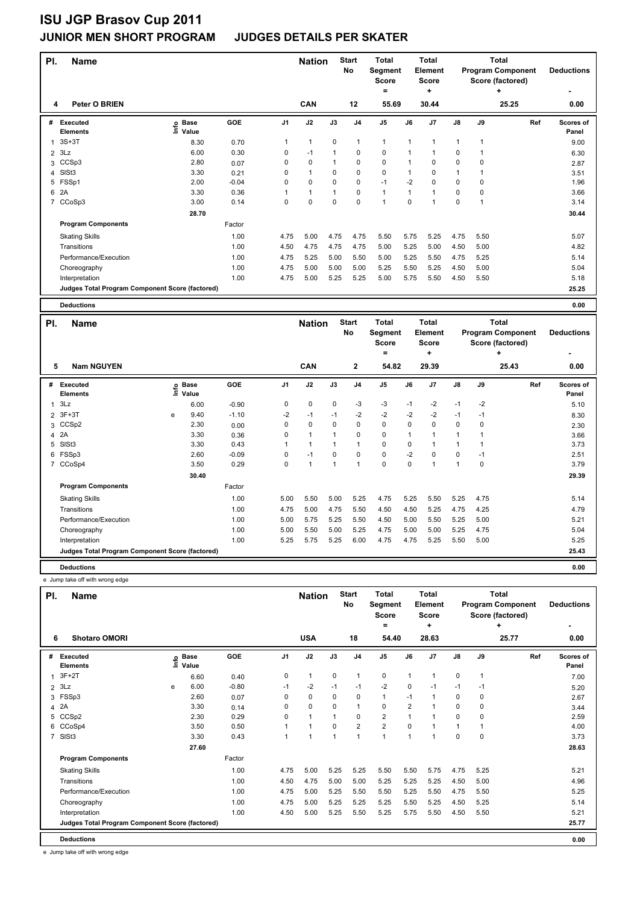| PI.            | <b>Name</b>                                     |                              |         |                | <b>Nation</b>  |      | <b>Start</b><br>No      | <b>Total</b><br>Segment<br><b>Score</b> |                | Total<br>Element<br><b>Score</b> |               |              | <b>Total</b><br><b>Program Component</b><br>Score (factored) | <b>Deductions</b>  |
|----------------|-------------------------------------------------|------------------------------|---------|----------------|----------------|------|-------------------------|-----------------------------------------|----------------|----------------------------------|---------------|--------------|--------------------------------------------------------------|--------------------|
| 4              | Peter O BRIEN                                   |                              |         |                | <b>CAN</b>     |      | 12                      | ۰<br>55.69                              |                | ٠<br>30.44                       |               |              | ÷<br>25.25                                                   | 0.00               |
|                |                                                 |                              |         |                |                |      |                         |                                         |                |                                  |               |              |                                                              |                    |
| #              | Executed<br><b>Elements</b>                     | <b>Base</b><br>lnfo<br>Value | GOE     | J <sub>1</sub> | J2             | J3   | J <sub>4</sub>          | J <sub>5</sub>                          | J6             | J7                               | $\mathsf{J}8$ | J9           | Ref                                                          | Scores of<br>Panel |
| 1              | $3S+3T$                                         | 8.30                         | 0.70    | 1              | $\mathbf{1}$   | 0    | $\overline{\mathbf{1}}$ | $\mathbf{1}$                            | $\mathbf{1}$   |                                  | $\mathbf{1}$  | $\mathbf{1}$ |                                                              | 9.00               |
| $\overline{2}$ | 3Lz                                             | 6.00                         | 0.30    | 0              | $-1$           | 1    | 0                       | $\pmb{0}$                               | $\overline{1}$ |                                  | 0             |              |                                                              | 6.30               |
| 3              | CCSp3                                           | 2.80                         | 0.07    | 0              | 0              | 1    | 0                       | 0                                       | 1              | 0                                | 0             | 0            |                                                              | 2.87               |
| 4              | SISt <sub>3</sub>                               | 3.30                         | 0.21    | 0              | $\mathbf{1}$   | 0    | $\mathbf 0$             | $\pmb{0}$                               | 1              | 0                                | 1             |              |                                                              | 3.51               |
| 5              | FSSp1                                           | 2.00                         | $-0.04$ | 0              | $\mathbf 0$    | 0    | 0                       | $-1$                                    | $-2$           | 0                                | 0             | 0            |                                                              | 1.96               |
| 6              | 2A                                              | 3.30                         | 0.36    | 1              | $\overline{1}$ |      | $\mathbf 0$             | $\mathbf{1}$                            | 1              |                                  | 0             | 0            |                                                              | 3.66               |
| $\overline{7}$ | CCoSp3                                          | 3.00                         | 0.14    | 0              | $\mathbf 0$    | 0    | $\mathbf 0$             | 1                                       | 0              |                                  | $\mathbf 0$   |              |                                                              | 3.14               |
|                |                                                 | 28.70                        |         |                |                |      |                         |                                         |                |                                  |               |              |                                                              | 30.44              |
|                | <b>Program Components</b>                       |                              | Factor  |                |                |      |                         |                                         |                |                                  |               |              |                                                              |                    |
|                | <b>Skating Skills</b>                           |                              | 1.00    | 4.75           | 5.00           | 4.75 | 4.75                    | 5.50                                    | 5.75           | 5.25                             | 4.75          | 5.50         |                                                              | 5.07               |
|                | Transitions                                     |                              | 1.00    | 4.50           | 4.75           | 4.75 | 4.75                    | 5.00                                    | 5.25           | 5.00                             | 4.50          | 5.00         |                                                              | 4.82               |
|                | Performance/Execution                           |                              | 1.00    | 4.75           | 5.25           | 5.00 | 5.50                    | 5.00                                    | 5.25           | 5.50                             | 4.75          | 5.25         |                                                              | 5.14               |
|                | Choreography                                    |                              | 1.00    | 4.75           | 5.00           | 5.00 | 5.00                    | 5.25                                    | 5.50           | 5.25                             | 4.50          | 5.00         |                                                              | 5.04               |
|                | Interpretation                                  |                              | 1.00    | 4.75           | 5.00           | 5.25 | 5.25                    | 5.00                                    | 5.75           | 5.50                             | 4.50          | 5.50         |                                                              | 5.18               |
|                | Judges Total Program Component Score (factored) |                              |         |                |                |      |                         |                                         |                |                                  |               |              |                                                              | 25.25              |
|                | <b>Deductions</b>                               |                              |         |                |                |      |                         |                                         |                |                                  |               |              |                                                              | 0.00               |

| PI.            | <b>Name</b>                                     |   |                            |         |      | <b>Nation</b>  |          | <b>Start</b><br>No | <b>Total</b><br>Segment<br><b>Score</b> |      | <b>Total</b><br>Element<br><b>Score</b> |                |      | Total<br><b>Program Component</b><br>Score (factored) | <b>Deductions</b>         |
|----------------|-------------------------------------------------|---|----------------------------|---------|------|----------------|----------|--------------------|-----------------------------------------|------|-----------------------------------------|----------------|------|-------------------------------------------------------|---------------------------|
|                |                                                 |   |                            |         |      |                |          |                    | =                                       |      | ٠                                       |                |      | ٠                                                     | ۰                         |
| 5              | <b>Nam NGUYEN</b>                               |   |                            |         |      | <b>CAN</b>     |          | $\mathbf{2}$       | 54.82                                   |      | 29.39                                   |                |      | 25.43                                                 | 0.00                      |
| #              | Executed<br><b>Elements</b>                     |   | e Base<br>E Value<br>Value | GOE     | J1   | J2             | J3       | J <sub>4</sub>     | J5                                      | J6   | J7                                      | J8             | J9   | Ref                                                   | <b>Scores of</b><br>Panel |
| 1              | 3Lz                                             |   | 6.00                       | $-0.90$ | 0    | 0              | 0        | $-3$               | -3                                      | $-1$ | $-2$                                    | $-1$           | $-2$ |                                                       | 5.10                      |
|                | 2 3F+3T                                         | e | 9.40                       | $-1.10$ | $-2$ | $-1$           | $-1$     | $-2$               | $-2$                                    | $-2$ | $-2$                                    | $-1$           | $-1$ |                                                       | 8.30                      |
|                | 3 CCSp2                                         |   | 2.30                       | 0.00    | 0    | 0              | $\Omega$ | 0                  | 0                                       | 0    | 0                                       | 0              | 0    |                                                       | 2.30                      |
|                | 4 2A                                            |   | 3.30                       | 0.36    | 0    | $\overline{1}$ |          | $\Omega$           | $\mathbf 0$                             |      |                                         |                |      |                                                       | 3.66                      |
| 5              | SISt <sub>3</sub>                               |   | 3.30                       | 0.43    |      | 1              |          | 1                  | 0                                       | 0    |                                         |                |      |                                                       | 3.73                      |
| 6              | FSSp3                                           |   | 2.60                       | $-0.09$ | 0    | $-1$           | $\Omega$ | 0                  | $\mathbf 0$                             | $-2$ | 0                                       | 0              | $-1$ |                                                       | 2.51                      |
| $\overline{7}$ | CCoSp4                                          |   | 3.50                       | 0.29    | 0    | $\overline{1}$ | 1        | 1                  | 0                                       | 0    |                                         | $\overline{1}$ | 0    |                                                       | 3.79                      |
|                |                                                 |   | 30.40                      |         |      |                |          |                    |                                         |      |                                         |                |      |                                                       | 29.39                     |
|                | <b>Program Components</b>                       |   |                            | Factor  |      |                |          |                    |                                         |      |                                         |                |      |                                                       |                           |
|                | <b>Skating Skills</b>                           |   |                            | 1.00    | 5.00 | 5.50           | 5.00     | 5.25               | 4.75                                    | 5.25 | 5.50                                    | 5.25           | 4.75 |                                                       | 5.14                      |
|                | Transitions                                     |   |                            | 1.00    | 4.75 | 5.00           | 4.75     | 5.50               | 4.50                                    | 4.50 | 5.25                                    | 4.75           | 4.25 |                                                       | 4.79                      |
|                | Performance/Execution                           |   |                            | 1.00    | 5.00 | 5.75           | 5.25     | 5.50               | 4.50                                    | 5.00 | 5.50                                    | 5.25           | 5.00 |                                                       | 5.21                      |
|                | Choreography                                    |   |                            | 1.00    | 5.00 | 5.50           | 5.00     | 5.25               | 4.75                                    | 5.00 | 5.00                                    | 5.25           | 4.75 |                                                       | 5.04                      |
|                | Interpretation                                  |   |                            | 1.00    | 5.25 | 5.75           | 5.25     | 6.00               | 4.75                                    | 4.75 | 5.25                                    | 5.50           | 5.00 |                                                       | 5.25                      |
|                | Judges Total Program Component Score (factored) |   |                            |         |      |                |          |                    |                                         |      |                                         |                |      |                                                       | 25.43                     |
|                |                                                 |   |                            |         |      |                |          |                    |                                         |      |                                         |                |      |                                                       |                           |

**Deductions 0.00** e Jump take off with wrong edge

| PI.            | <b>Name</b>                                     |                         |                      |         |                | <b>Nation</b>  |      | <b>Start</b><br>No | Total<br>Segment<br><b>Score</b> |                | <b>Total</b><br>Element<br><b>Score</b> |              |      | Total<br><b>Program Component</b><br>Score (factored) | <b>Deductions</b>  |
|----------------|-------------------------------------------------|-------------------------|----------------------|---------|----------------|----------------|------|--------------------|----------------------------------|----------------|-----------------------------------------|--------------|------|-------------------------------------------------------|--------------------|
| 6              | <b>Shotaro OMORI</b>                            |                         |                      |         |                | <b>USA</b>     |      | 18                 | ٠<br>54.40                       |                | ٠<br>28.63                              |              |      | ٠<br>25.77                                            | ٠<br>0.00          |
|                |                                                 |                         |                      |         |                |                |      |                    |                                  |                |                                         |              |      |                                                       |                    |
| #              | <b>Executed</b><br><b>Elements</b>              | $\mathop{\hbox{\rm E}}$ | <b>Base</b><br>Value | GOE     | J <sub>1</sub> | J2             | J3   | J <sub>4</sub>     | J <sub>5</sub>                   | J6             | J <sub>7</sub>                          | J8           | J9   | Ref                                                   | Scores of<br>Panel |
| 1              | $3F+2T$                                         |                         | 6.60                 | 0.40    | 0              | $\mathbf{1}$   | 0    | $\mathbf{1}$       | 0                                | 1              | 1                                       | 0            | 1    |                                                       | 7.00               |
| 2              | 3Lz                                             | e                       | 6.00                 | $-0.80$ | $-1$           | $-2$           | $-1$ | $-1$               | $-2$                             | 0              | $-1$                                    | $-1$         | $-1$ |                                                       | 5.20               |
| 3              | FSSp3                                           |                         | 2.60                 | 0.07    | 0              | 0              | 0    | 0                  | $\mathbf{1}$                     | $-1$           |                                         | 0            | 0    |                                                       | 2.67               |
| 4              | 2A                                              |                         | 3.30                 | 0.14    | 0              | 0              | 0    | $\mathbf{1}$       | 0                                | $\overline{2}$ |                                         | 0            | 0    |                                                       | 3.44               |
| 5              | CCS <sub>p2</sub>                               |                         | 2.30                 | 0.29    | 0              | $\mathbf{1}$   |      | 0                  | $\overline{2}$                   | $\overline{1}$ |                                         | 0            | 0    |                                                       | 2.59               |
| 6              | CCoSp4                                          |                         | 3.50                 | 0.50    |                | $\overline{1}$ | 0    | $\overline{2}$     | $\overline{2}$                   | 0              |                                         | $\mathbf{1}$ |      |                                                       | 4.00               |
| $\overline{7}$ | SISt <sub>3</sub>                               |                         | 3.30                 | 0.43    |                |                |      | $\overline{1}$     | $\overline{1}$                   | 1              | ٠                                       | $\mathbf 0$  | 0    |                                                       | 3.73               |
|                |                                                 |                         | 27.60                |         |                |                |      |                    |                                  |                |                                         |              |      |                                                       | 28.63              |
|                | <b>Program Components</b>                       |                         |                      | Factor  |                |                |      |                    |                                  |                |                                         |              |      |                                                       |                    |
|                | <b>Skating Skills</b>                           |                         |                      | 1.00    | 4.75           | 5.00           | 5.25 | 5.25               | 5.50                             | 5.50           | 5.75                                    | 4.75         | 5.25 |                                                       | 5.21               |
|                | Transitions                                     |                         |                      | 1.00    | 4.50           | 4.75           | 5.00 | 5.00               | 5.25                             | 5.25           | 5.25                                    | 4.50         | 5.00 |                                                       | 4.96               |
|                | Performance/Execution                           |                         |                      | 1.00    | 4.75           | 5.00           | 5.25 | 5.50               | 5.50                             | 5.25           | 5.50                                    | 4.75         | 5.50 |                                                       | 5.25               |
|                | Choreography                                    |                         |                      | 1.00    | 4.75           | 5.00           | 5.25 | 5.25               | 5.25                             | 5.50           | 5.25                                    | 4.50         | 5.25 |                                                       | 5.14               |
|                | Interpretation                                  |                         |                      | 1.00    | 4.50           | 5.00           | 5.25 | 5.50               | 5.25                             | 5.75           | 5.50                                    | 4.50         | 5.50 |                                                       | 5.21               |
|                | Judges Total Program Component Score (factored) |                         |                      |         |                |                |      |                    |                                  |                |                                         |              |      |                                                       | 25.77              |
|                | <b>Deductions</b>                               |                         |                      |         |                |                |      |                    |                                  |                |                                         |              |      |                                                       | 0.00               |

e Jump take off with wrong edge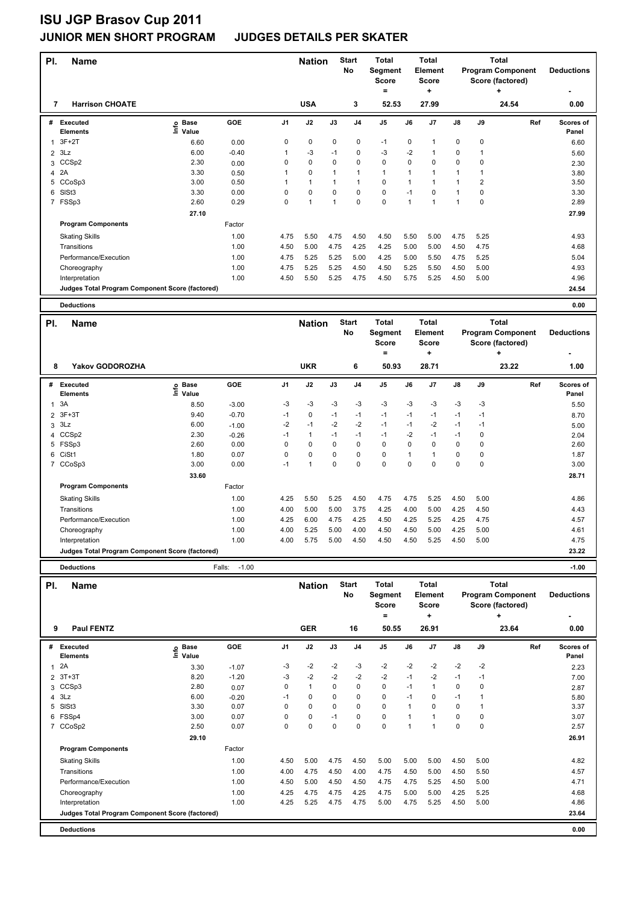| <b>Program Component</b><br>No<br><b>Element</b><br><b>Score</b><br>Score (factored)<br>Score<br>$\ddot{}$<br>$\equiv$<br>÷<br><b>USA</b><br>3<br>7<br><b>Harrison CHOATE</b><br>52.53<br>27.99<br>24.54<br>0.00<br>GOE<br>Ref<br><b>Executed</b><br>e Base<br>⊆ Value<br>J1<br>J2<br>J3<br>J4<br>J5<br>J6<br>J7<br>J8<br>J9<br>Scores of<br>#<br>Elements<br>Panel<br>$3F+2T$<br>0<br>0<br>0<br>0<br>$\pmb{0}$<br>$\mathbf 0$<br>$\pmb{0}$<br>$-1$<br>$\mathbf{1}$<br>6.60<br>0.00<br>$\mathbf{1}$<br>6.60<br>$2$ 3Lz<br>6.00<br>$-0.40$<br>$-3$<br>$-1$<br>0<br>$-3$<br>$-2$<br>$\mathbf 0$<br>1<br>1<br>$\mathbf{1}$<br>5.60<br>$\mathsf 0$<br>$\pmb{0}$<br>$\pmb{0}$<br>CCSp2<br>2.30<br>0<br>0<br>0<br>0<br>0<br>0<br>3<br>0.00<br>2.30<br>3.30<br>$\overline{1}$<br>$\overline{1}$<br>4 2A<br>1<br>$\Omega$<br>1<br>$\mathbf{1}$<br>$\mathbf{1}$<br>1<br>$\mathbf{1}$<br>0.50<br>3.80<br>3.00<br>0<br>$\overline{1}$<br>1<br>$\overline{2}$<br>5<br>CCoSp3<br>0.50<br>1<br>$\mathbf{1}$<br>$\mathbf{1}$<br>1<br>$\mathbf{1}$<br>3.50<br>0<br>$\mathbf 0$<br>$\mathbf 0$<br>$\mathbf 0$<br>$\mathbf 0$<br>6<br>SISt3<br>3.30<br>0.00<br>0<br>0<br>$-1$<br>$\mathbf{1}$<br>3.30<br>2.60<br>$\mathbf 0$<br>$\mathbf{1}$<br>$\mathbf 0$<br>0<br>$\overline{1}$<br>$\mathbf{1}$<br>$\mathbf{1}$<br>$\pmb{0}$<br>7 FSSp3<br>0.29<br>$\mathbf{1}$<br>2.89<br>27.10<br>27.99<br><b>Program Components</b><br>Factor<br><b>Skating Skills</b><br>1.00<br>4.75<br>5.50<br>4.75<br>4.50<br>4.50<br>5.50<br>5.00<br>4.75<br>5.25<br>4.93<br>1.00<br>4.50<br>5.00<br>4.75<br>4.25<br>4.25<br>5.00<br>5.00<br>4.50<br>4.75<br>Transitions<br>4.68<br>5.25<br>4.25<br>5.25<br>Performance/Execution<br>1.00<br>4.75<br>5.25<br>5.00<br>5.00<br>5.50<br>4.75<br>5.04<br>1.00<br>4.75<br>5.25<br>5.25<br>4.50<br>4.50<br>5.00<br>4.93<br>Choreography<br>4.50<br>5.25<br>5.50<br>1.00<br>4.50<br>5.50<br>5.25<br>4.75<br>4.50<br>5.75<br>5.25<br>4.50<br>5.00<br>4.96<br>Interpretation<br>Judges Total Program Component Score (factored)<br>24.54<br><b>Deductions</b><br>0.00<br><b>Start</b><br><b>Total</b><br><b>Total</b><br><b>Total</b><br>PI.<br><b>Name</b><br><b>Nation</b><br><b>Program Component</b><br>No<br>Segment<br><b>Element</b><br><b>Deductions</b><br><b>Score</b><br><b>Score</b><br>Score (factored)<br>$\equiv$<br>÷<br>÷<br><b>Yakov GODOROZHA</b><br><b>UKR</b><br>6<br>50.93<br>28.71<br>23.22<br>1.00<br>8<br>Ref<br>#<br>Executed<br>e Base<br>⊑ Value<br><b>GOE</b><br>J <sub>1</sub><br>J2<br>J3<br>J4<br>J5<br>J6<br>J7<br>J8<br>J9<br>Scores of<br><b>Elements</b><br>Panel<br>3A<br>-3<br>$-3$<br>$-3$<br>$-3$<br>$-3$<br>$-3$<br>-3<br>$-3$<br>$-3$<br>8.50<br>$-3.00$<br>5.50<br>1<br>2 3F+3T<br>9.40<br>$-0.70$<br>$-1$<br>0<br>$-1$<br>$-1$<br>$-1$<br>$-1$<br>$-1$<br>$-1$<br>$-1$<br>8.70<br>$-2$<br>$-2$<br>$-2$<br>$-2$<br>3Lz<br>6.00<br>$-1$<br>$-1$<br>$-1$<br>3<br>$-1$<br>$-1$<br>$-1.00$<br>5.00<br>$-1$<br>$-1$<br>$-2$<br>$\pmb{0}$<br>CCS <sub>p2</sub><br>2.30<br>$-1$<br>$\mathbf{1}$<br>$-1$<br>$-1$<br>$-1$<br>4<br>$-0.26$<br>2.04<br>5 FSSp3<br>2.60<br>0.00<br>0<br>0<br>0<br>0<br>$\mathbf 0$<br>$\mathbf 0$<br>$\mathbf 0$<br>$\mathbf 0$<br>$\pmb{0}$<br>2.60<br>$\mathsf 0$<br>CiSt1<br>0<br>0<br>0<br>0<br>$\overline{1}$<br>$\mathbf 0$<br>0<br>6<br>1.80<br>0.07<br>1<br>1.87<br>3.00<br>$-1$<br>0<br>$\Omega$<br>$\Omega$<br>$\Omega$<br>$\Omega$<br>$\mathbf 0$<br>$\mathbf 0$<br>7 CCoSp3<br>0.00<br>1<br>3.00<br>33.60<br>28.71<br><b>Program Components</b><br>Factor<br><b>Skating Skills</b><br>1.00<br>4.25<br>5.50<br>5.25<br>4.50<br>4.75<br>4.75<br>5.25<br>4.50<br>5.00<br>4.86<br>Transitions<br>1.00<br>4.00<br>5.00<br>5.00<br>3.75<br>4.25<br>4.00<br>5.00<br>4.25<br>4.50<br>4.43<br>Performance/Execution<br>1.00<br>4.25<br>6.00<br>4.75<br>4.25<br>4.50<br>4.25<br>5.25<br>4.25<br>4.75<br>4.57<br>1.00<br>5.25<br>5.00<br>4.25<br>5.00<br>4.00<br>4.00<br>4.50<br>4.50<br>5.00<br>4.61<br>Choreography<br>1.00<br>4.00<br>5.75<br>5.00<br>4.50<br>4.50<br>4.50<br>5.25<br>4.50<br>5.00<br>4.75<br>Interpretation<br>23.22<br>Judges Total Program Component Score (factored)<br>$-1.00$<br>$-1.00$<br><b>Deductions</b><br>Falls:<br><b>Start</b><br><b>Total</b><br><b>Total</b><br><b>Total</b><br>PI.<br><b>Name</b><br><b>Nation</b> | PI. | <b>Name</b> |  | <b>Nation</b> | <b>Start</b> | <b>Total</b> | <b>Total</b> |  | <b>Total</b> |                   |
|-------------------------------------------------------------------------------------------------------------------------------------------------------------------------------------------------------------------------------------------------------------------------------------------------------------------------------------------------------------------------------------------------------------------------------------------------------------------------------------------------------------------------------------------------------------------------------------------------------------------------------------------------------------------------------------------------------------------------------------------------------------------------------------------------------------------------------------------------------------------------------------------------------------------------------------------------------------------------------------------------------------------------------------------------------------------------------------------------------------------------------------------------------------------------------------------------------------------------------------------------------------------------------------------------------------------------------------------------------------------------------------------------------------------------------------------------------------------------------------------------------------------------------------------------------------------------------------------------------------------------------------------------------------------------------------------------------------------------------------------------------------------------------------------------------------------------------------------------------------------------------------------------------------------------------------------------------------------------------------------------------------------------------------------------------------------------------------------------------------------------------------------------------------------------------------------------------------------------------------------------------------------------------------------------------------------------------------------------------------------------------------------------------------------------------------------------------------------------------------------------------------------------------------------------------------------------------------------------------------------------------------------------------------------------------------------------------------------------------------------------------------------------------------------------------------------------------------------------------------------------------------------------------------------------------------------------------------------------------------------------------------------------------------------------------------------------------------------------------------------------------------------------------------------------------------------------------------------------------------------------------------------------------------------------------------------------------------------------------------------------------------------------------------------------------------------------------------------------------------------------------------------------------------------------------------------------------------------------------------------------------------------------------------------------------------------------------------------------------------------------------------------------------------------------------------------------------------------------------------------------------------------------------------------------------------------------------------------------------------------------------------------------------------------------------------------------------------------------------------------------------------------------------------------------------------------------------------------------------------------------------------------------------------------------------------------------|-----|-------------|--|---------------|--------------|--------------|--------------|--|--------------|-------------------|
|                                                                                                                                                                                                                                                                                                                                                                                                                                                                                                                                                                                                                                                                                                                                                                                                                                                                                                                                                                                                                                                                                                                                                                                                                                                                                                                                                                                                                                                                                                                                                                                                                                                                                                                                                                                                                                                                                                                                                                                                                                                                                                                                                                                                                                                                                                                                                                                                                                                                                                                                                                                                                                                                                                                                                                                                                                                                                                                                                                                                                                                                                                                                                                                                                                                                                                                                                                                                                                                                                                                                                                                                                                                                                                                                                                                                                                                                                                                                                                                                                                                                                                                                                                                                                                                                                                                         |     |             |  |               |              | Segment      |              |  |              | <b>Deductions</b> |
|                                                                                                                                                                                                                                                                                                                                                                                                                                                                                                                                                                                                                                                                                                                                                                                                                                                                                                                                                                                                                                                                                                                                                                                                                                                                                                                                                                                                                                                                                                                                                                                                                                                                                                                                                                                                                                                                                                                                                                                                                                                                                                                                                                                                                                                                                                                                                                                                                                                                                                                                                                                                                                                                                                                                                                                                                                                                                                                                                                                                                                                                                                                                                                                                                                                                                                                                                                                                                                                                                                                                                                                                                                                                                                                                                                                                                                                                                                                                                                                                                                                                                                                                                                                                                                                                                                                         |     |             |  |               |              |              |              |  |              |                   |
|                                                                                                                                                                                                                                                                                                                                                                                                                                                                                                                                                                                                                                                                                                                                                                                                                                                                                                                                                                                                                                                                                                                                                                                                                                                                                                                                                                                                                                                                                                                                                                                                                                                                                                                                                                                                                                                                                                                                                                                                                                                                                                                                                                                                                                                                                                                                                                                                                                                                                                                                                                                                                                                                                                                                                                                                                                                                                                                                                                                                                                                                                                                                                                                                                                                                                                                                                                                                                                                                                                                                                                                                                                                                                                                                                                                                                                                                                                                                                                                                                                                                                                                                                                                                                                                                                                                         |     |             |  |               |              |              |              |  |              |                   |
|                                                                                                                                                                                                                                                                                                                                                                                                                                                                                                                                                                                                                                                                                                                                                                                                                                                                                                                                                                                                                                                                                                                                                                                                                                                                                                                                                                                                                                                                                                                                                                                                                                                                                                                                                                                                                                                                                                                                                                                                                                                                                                                                                                                                                                                                                                                                                                                                                                                                                                                                                                                                                                                                                                                                                                                                                                                                                                                                                                                                                                                                                                                                                                                                                                                                                                                                                                                                                                                                                                                                                                                                                                                                                                                                                                                                                                                                                                                                                                                                                                                                                                                                                                                                                                                                                                                         |     |             |  |               |              |              |              |  |              |                   |
|                                                                                                                                                                                                                                                                                                                                                                                                                                                                                                                                                                                                                                                                                                                                                                                                                                                                                                                                                                                                                                                                                                                                                                                                                                                                                                                                                                                                                                                                                                                                                                                                                                                                                                                                                                                                                                                                                                                                                                                                                                                                                                                                                                                                                                                                                                                                                                                                                                                                                                                                                                                                                                                                                                                                                                                                                                                                                                                                                                                                                                                                                                                                                                                                                                                                                                                                                                                                                                                                                                                                                                                                                                                                                                                                                                                                                                                                                                                                                                                                                                                                                                                                                                                                                                                                                                                         |     |             |  |               |              |              |              |  |              |                   |
|                                                                                                                                                                                                                                                                                                                                                                                                                                                                                                                                                                                                                                                                                                                                                                                                                                                                                                                                                                                                                                                                                                                                                                                                                                                                                                                                                                                                                                                                                                                                                                                                                                                                                                                                                                                                                                                                                                                                                                                                                                                                                                                                                                                                                                                                                                                                                                                                                                                                                                                                                                                                                                                                                                                                                                                                                                                                                                                                                                                                                                                                                                                                                                                                                                                                                                                                                                                                                                                                                                                                                                                                                                                                                                                                                                                                                                                                                                                                                                                                                                                                                                                                                                                                                                                                                                                         |     |             |  |               |              |              |              |  |              |                   |
|                                                                                                                                                                                                                                                                                                                                                                                                                                                                                                                                                                                                                                                                                                                                                                                                                                                                                                                                                                                                                                                                                                                                                                                                                                                                                                                                                                                                                                                                                                                                                                                                                                                                                                                                                                                                                                                                                                                                                                                                                                                                                                                                                                                                                                                                                                                                                                                                                                                                                                                                                                                                                                                                                                                                                                                                                                                                                                                                                                                                                                                                                                                                                                                                                                                                                                                                                                                                                                                                                                                                                                                                                                                                                                                                                                                                                                                                                                                                                                                                                                                                                                                                                                                                                                                                                                                         |     |             |  |               |              |              |              |  |              |                   |
|                                                                                                                                                                                                                                                                                                                                                                                                                                                                                                                                                                                                                                                                                                                                                                                                                                                                                                                                                                                                                                                                                                                                                                                                                                                                                                                                                                                                                                                                                                                                                                                                                                                                                                                                                                                                                                                                                                                                                                                                                                                                                                                                                                                                                                                                                                                                                                                                                                                                                                                                                                                                                                                                                                                                                                                                                                                                                                                                                                                                                                                                                                                                                                                                                                                                                                                                                                                                                                                                                                                                                                                                                                                                                                                                                                                                                                                                                                                                                                                                                                                                                                                                                                                                                                                                                                                         |     |             |  |               |              |              |              |  |              |                   |
|                                                                                                                                                                                                                                                                                                                                                                                                                                                                                                                                                                                                                                                                                                                                                                                                                                                                                                                                                                                                                                                                                                                                                                                                                                                                                                                                                                                                                                                                                                                                                                                                                                                                                                                                                                                                                                                                                                                                                                                                                                                                                                                                                                                                                                                                                                                                                                                                                                                                                                                                                                                                                                                                                                                                                                                                                                                                                                                                                                                                                                                                                                                                                                                                                                                                                                                                                                                                                                                                                                                                                                                                                                                                                                                                                                                                                                                                                                                                                                                                                                                                                                                                                                                                                                                                                                                         |     |             |  |               |              |              |              |  |              |                   |
|                                                                                                                                                                                                                                                                                                                                                                                                                                                                                                                                                                                                                                                                                                                                                                                                                                                                                                                                                                                                                                                                                                                                                                                                                                                                                                                                                                                                                                                                                                                                                                                                                                                                                                                                                                                                                                                                                                                                                                                                                                                                                                                                                                                                                                                                                                                                                                                                                                                                                                                                                                                                                                                                                                                                                                                                                                                                                                                                                                                                                                                                                                                                                                                                                                                                                                                                                                                                                                                                                                                                                                                                                                                                                                                                                                                                                                                                                                                                                                                                                                                                                                                                                                                                                                                                                                                         |     |             |  |               |              |              |              |  |              |                   |
|                                                                                                                                                                                                                                                                                                                                                                                                                                                                                                                                                                                                                                                                                                                                                                                                                                                                                                                                                                                                                                                                                                                                                                                                                                                                                                                                                                                                                                                                                                                                                                                                                                                                                                                                                                                                                                                                                                                                                                                                                                                                                                                                                                                                                                                                                                                                                                                                                                                                                                                                                                                                                                                                                                                                                                                                                                                                                                                                                                                                                                                                                                                                                                                                                                                                                                                                                                                                                                                                                                                                                                                                                                                                                                                                                                                                                                                                                                                                                                                                                                                                                                                                                                                                                                                                                                                         |     |             |  |               |              |              |              |  |              |                   |
|                                                                                                                                                                                                                                                                                                                                                                                                                                                                                                                                                                                                                                                                                                                                                                                                                                                                                                                                                                                                                                                                                                                                                                                                                                                                                                                                                                                                                                                                                                                                                                                                                                                                                                                                                                                                                                                                                                                                                                                                                                                                                                                                                                                                                                                                                                                                                                                                                                                                                                                                                                                                                                                                                                                                                                                                                                                                                                                                                                                                                                                                                                                                                                                                                                                                                                                                                                                                                                                                                                                                                                                                                                                                                                                                                                                                                                                                                                                                                                                                                                                                                                                                                                                                                                                                                                                         |     |             |  |               |              |              |              |  |              |                   |
|                                                                                                                                                                                                                                                                                                                                                                                                                                                                                                                                                                                                                                                                                                                                                                                                                                                                                                                                                                                                                                                                                                                                                                                                                                                                                                                                                                                                                                                                                                                                                                                                                                                                                                                                                                                                                                                                                                                                                                                                                                                                                                                                                                                                                                                                                                                                                                                                                                                                                                                                                                                                                                                                                                                                                                                                                                                                                                                                                                                                                                                                                                                                                                                                                                                                                                                                                                                                                                                                                                                                                                                                                                                                                                                                                                                                                                                                                                                                                                                                                                                                                                                                                                                                                                                                                                                         |     |             |  |               |              |              |              |  |              |                   |
|                                                                                                                                                                                                                                                                                                                                                                                                                                                                                                                                                                                                                                                                                                                                                                                                                                                                                                                                                                                                                                                                                                                                                                                                                                                                                                                                                                                                                                                                                                                                                                                                                                                                                                                                                                                                                                                                                                                                                                                                                                                                                                                                                                                                                                                                                                                                                                                                                                                                                                                                                                                                                                                                                                                                                                                                                                                                                                                                                                                                                                                                                                                                                                                                                                                                                                                                                                                                                                                                                                                                                                                                                                                                                                                                                                                                                                                                                                                                                                                                                                                                                                                                                                                                                                                                                                                         |     |             |  |               |              |              |              |  |              |                   |
|                                                                                                                                                                                                                                                                                                                                                                                                                                                                                                                                                                                                                                                                                                                                                                                                                                                                                                                                                                                                                                                                                                                                                                                                                                                                                                                                                                                                                                                                                                                                                                                                                                                                                                                                                                                                                                                                                                                                                                                                                                                                                                                                                                                                                                                                                                                                                                                                                                                                                                                                                                                                                                                                                                                                                                                                                                                                                                                                                                                                                                                                                                                                                                                                                                                                                                                                                                                                                                                                                                                                                                                                                                                                                                                                                                                                                                                                                                                                                                                                                                                                                                                                                                                                                                                                                                                         |     |             |  |               |              |              |              |  |              |                   |
|                                                                                                                                                                                                                                                                                                                                                                                                                                                                                                                                                                                                                                                                                                                                                                                                                                                                                                                                                                                                                                                                                                                                                                                                                                                                                                                                                                                                                                                                                                                                                                                                                                                                                                                                                                                                                                                                                                                                                                                                                                                                                                                                                                                                                                                                                                                                                                                                                                                                                                                                                                                                                                                                                                                                                                                                                                                                                                                                                                                                                                                                                                                                                                                                                                                                                                                                                                                                                                                                                                                                                                                                                                                                                                                                                                                                                                                                                                                                                                                                                                                                                                                                                                                                                                                                                                                         |     |             |  |               |              |              |              |  |              |                   |
|                                                                                                                                                                                                                                                                                                                                                                                                                                                                                                                                                                                                                                                                                                                                                                                                                                                                                                                                                                                                                                                                                                                                                                                                                                                                                                                                                                                                                                                                                                                                                                                                                                                                                                                                                                                                                                                                                                                                                                                                                                                                                                                                                                                                                                                                                                                                                                                                                                                                                                                                                                                                                                                                                                                                                                                                                                                                                                                                                                                                                                                                                                                                                                                                                                                                                                                                                                                                                                                                                                                                                                                                                                                                                                                                                                                                                                                                                                                                                                                                                                                                                                                                                                                                                                                                                                                         |     |             |  |               |              |              |              |  |              |                   |
|                                                                                                                                                                                                                                                                                                                                                                                                                                                                                                                                                                                                                                                                                                                                                                                                                                                                                                                                                                                                                                                                                                                                                                                                                                                                                                                                                                                                                                                                                                                                                                                                                                                                                                                                                                                                                                                                                                                                                                                                                                                                                                                                                                                                                                                                                                                                                                                                                                                                                                                                                                                                                                                                                                                                                                                                                                                                                                                                                                                                                                                                                                                                                                                                                                                                                                                                                                                                                                                                                                                                                                                                                                                                                                                                                                                                                                                                                                                                                                                                                                                                                                                                                                                                                                                                                                                         |     |             |  |               |              |              |              |  |              |                   |
|                                                                                                                                                                                                                                                                                                                                                                                                                                                                                                                                                                                                                                                                                                                                                                                                                                                                                                                                                                                                                                                                                                                                                                                                                                                                                                                                                                                                                                                                                                                                                                                                                                                                                                                                                                                                                                                                                                                                                                                                                                                                                                                                                                                                                                                                                                                                                                                                                                                                                                                                                                                                                                                                                                                                                                                                                                                                                                                                                                                                                                                                                                                                                                                                                                                                                                                                                                                                                                                                                                                                                                                                                                                                                                                                                                                                                                                                                                                                                                                                                                                                                                                                                                                                                                                                                                                         |     |             |  |               |              |              |              |  |              |                   |
|                                                                                                                                                                                                                                                                                                                                                                                                                                                                                                                                                                                                                                                                                                                                                                                                                                                                                                                                                                                                                                                                                                                                                                                                                                                                                                                                                                                                                                                                                                                                                                                                                                                                                                                                                                                                                                                                                                                                                                                                                                                                                                                                                                                                                                                                                                                                                                                                                                                                                                                                                                                                                                                                                                                                                                                                                                                                                                                                                                                                                                                                                                                                                                                                                                                                                                                                                                                                                                                                                                                                                                                                                                                                                                                                                                                                                                                                                                                                                                                                                                                                                                                                                                                                                                                                                                                         |     |             |  |               |              |              |              |  |              |                   |
|                                                                                                                                                                                                                                                                                                                                                                                                                                                                                                                                                                                                                                                                                                                                                                                                                                                                                                                                                                                                                                                                                                                                                                                                                                                                                                                                                                                                                                                                                                                                                                                                                                                                                                                                                                                                                                                                                                                                                                                                                                                                                                                                                                                                                                                                                                                                                                                                                                                                                                                                                                                                                                                                                                                                                                                                                                                                                                                                                                                                                                                                                                                                                                                                                                                                                                                                                                                                                                                                                                                                                                                                                                                                                                                                                                                                                                                                                                                                                                                                                                                                                                                                                                                                                                                                                                                         |     |             |  |               |              |              |              |  |              |                   |
|                                                                                                                                                                                                                                                                                                                                                                                                                                                                                                                                                                                                                                                                                                                                                                                                                                                                                                                                                                                                                                                                                                                                                                                                                                                                                                                                                                                                                                                                                                                                                                                                                                                                                                                                                                                                                                                                                                                                                                                                                                                                                                                                                                                                                                                                                                                                                                                                                                                                                                                                                                                                                                                                                                                                                                                                                                                                                                                                                                                                                                                                                                                                                                                                                                                                                                                                                                                                                                                                                                                                                                                                                                                                                                                                                                                                                                                                                                                                                                                                                                                                                                                                                                                                                                                                                                                         |     |             |  |               |              |              |              |  |              |                   |
|                                                                                                                                                                                                                                                                                                                                                                                                                                                                                                                                                                                                                                                                                                                                                                                                                                                                                                                                                                                                                                                                                                                                                                                                                                                                                                                                                                                                                                                                                                                                                                                                                                                                                                                                                                                                                                                                                                                                                                                                                                                                                                                                                                                                                                                                                                                                                                                                                                                                                                                                                                                                                                                                                                                                                                                                                                                                                                                                                                                                                                                                                                                                                                                                                                                                                                                                                                                                                                                                                                                                                                                                                                                                                                                                                                                                                                                                                                                                                                                                                                                                                                                                                                                                                                                                                                                         |     |             |  |               |              |              |              |  |              |                   |
|                                                                                                                                                                                                                                                                                                                                                                                                                                                                                                                                                                                                                                                                                                                                                                                                                                                                                                                                                                                                                                                                                                                                                                                                                                                                                                                                                                                                                                                                                                                                                                                                                                                                                                                                                                                                                                                                                                                                                                                                                                                                                                                                                                                                                                                                                                                                                                                                                                                                                                                                                                                                                                                                                                                                                                                                                                                                                                                                                                                                                                                                                                                                                                                                                                                                                                                                                                                                                                                                                                                                                                                                                                                                                                                                                                                                                                                                                                                                                                                                                                                                                                                                                                                                                                                                                                                         |     |             |  |               |              |              |              |  |              |                   |
|                                                                                                                                                                                                                                                                                                                                                                                                                                                                                                                                                                                                                                                                                                                                                                                                                                                                                                                                                                                                                                                                                                                                                                                                                                                                                                                                                                                                                                                                                                                                                                                                                                                                                                                                                                                                                                                                                                                                                                                                                                                                                                                                                                                                                                                                                                                                                                                                                                                                                                                                                                                                                                                                                                                                                                                                                                                                                                                                                                                                                                                                                                                                                                                                                                                                                                                                                                                                                                                                                                                                                                                                                                                                                                                                                                                                                                                                                                                                                                                                                                                                                                                                                                                                                                                                                                                         |     |             |  |               |              |              |              |  |              |                   |
|                                                                                                                                                                                                                                                                                                                                                                                                                                                                                                                                                                                                                                                                                                                                                                                                                                                                                                                                                                                                                                                                                                                                                                                                                                                                                                                                                                                                                                                                                                                                                                                                                                                                                                                                                                                                                                                                                                                                                                                                                                                                                                                                                                                                                                                                                                                                                                                                                                                                                                                                                                                                                                                                                                                                                                                                                                                                                                                                                                                                                                                                                                                                                                                                                                                                                                                                                                                                                                                                                                                                                                                                                                                                                                                                                                                                                                                                                                                                                                                                                                                                                                                                                                                                                                                                                                                         |     |             |  |               |              |              |              |  |              |                   |
|                                                                                                                                                                                                                                                                                                                                                                                                                                                                                                                                                                                                                                                                                                                                                                                                                                                                                                                                                                                                                                                                                                                                                                                                                                                                                                                                                                                                                                                                                                                                                                                                                                                                                                                                                                                                                                                                                                                                                                                                                                                                                                                                                                                                                                                                                                                                                                                                                                                                                                                                                                                                                                                                                                                                                                                                                                                                                                                                                                                                                                                                                                                                                                                                                                                                                                                                                                                                                                                                                                                                                                                                                                                                                                                                                                                                                                                                                                                                                                                                                                                                                                                                                                                                                                                                                                                         |     |             |  |               |              |              |              |  |              |                   |
|                                                                                                                                                                                                                                                                                                                                                                                                                                                                                                                                                                                                                                                                                                                                                                                                                                                                                                                                                                                                                                                                                                                                                                                                                                                                                                                                                                                                                                                                                                                                                                                                                                                                                                                                                                                                                                                                                                                                                                                                                                                                                                                                                                                                                                                                                                                                                                                                                                                                                                                                                                                                                                                                                                                                                                                                                                                                                                                                                                                                                                                                                                                                                                                                                                                                                                                                                                                                                                                                                                                                                                                                                                                                                                                                                                                                                                                                                                                                                                                                                                                                                                                                                                                                                                                                                                                         |     |             |  |               |              |              |              |  |              |                   |
|                                                                                                                                                                                                                                                                                                                                                                                                                                                                                                                                                                                                                                                                                                                                                                                                                                                                                                                                                                                                                                                                                                                                                                                                                                                                                                                                                                                                                                                                                                                                                                                                                                                                                                                                                                                                                                                                                                                                                                                                                                                                                                                                                                                                                                                                                                                                                                                                                                                                                                                                                                                                                                                                                                                                                                                                                                                                                                                                                                                                                                                                                                                                                                                                                                                                                                                                                                                                                                                                                                                                                                                                                                                                                                                                                                                                                                                                                                                                                                                                                                                                                                                                                                                                                                                                                                                         |     |             |  |               |              |              |              |  |              |                   |
|                                                                                                                                                                                                                                                                                                                                                                                                                                                                                                                                                                                                                                                                                                                                                                                                                                                                                                                                                                                                                                                                                                                                                                                                                                                                                                                                                                                                                                                                                                                                                                                                                                                                                                                                                                                                                                                                                                                                                                                                                                                                                                                                                                                                                                                                                                                                                                                                                                                                                                                                                                                                                                                                                                                                                                                                                                                                                                                                                                                                                                                                                                                                                                                                                                                                                                                                                                                                                                                                                                                                                                                                                                                                                                                                                                                                                                                                                                                                                                                                                                                                                                                                                                                                                                                                                                                         |     |             |  |               |              |              |              |  |              |                   |
|                                                                                                                                                                                                                                                                                                                                                                                                                                                                                                                                                                                                                                                                                                                                                                                                                                                                                                                                                                                                                                                                                                                                                                                                                                                                                                                                                                                                                                                                                                                                                                                                                                                                                                                                                                                                                                                                                                                                                                                                                                                                                                                                                                                                                                                                                                                                                                                                                                                                                                                                                                                                                                                                                                                                                                                                                                                                                                                                                                                                                                                                                                                                                                                                                                                                                                                                                                                                                                                                                                                                                                                                                                                                                                                                                                                                                                                                                                                                                                                                                                                                                                                                                                                                                                                                                                                         |     |             |  |               |              |              |              |  |              |                   |
|                                                                                                                                                                                                                                                                                                                                                                                                                                                                                                                                                                                                                                                                                                                                                                                                                                                                                                                                                                                                                                                                                                                                                                                                                                                                                                                                                                                                                                                                                                                                                                                                                                                                                                                                                                                                                                                                                                                                                                                                                                                                                                                                                                                                                                                                                                                                                                                                                                                                                                                                                                                                                                                                                                                                                                                                                                                                                                                                                                                                                                                                                                                                                                                                                                                                                                                                                                                                                                                                                                                                                                                                                                                                                                                                                                                                                                                                                                                                                                                                                                                                                                                                                                                                                                                                                                                         |     |             |  |               |              |              |              |  |              |                   |
|                                                                                                                                                                                                                                                                                                                                                                                                                                                                                                                                                                                                                                                                                                                                                                                                                                                                                                                                                                                                                                                                                                                                                                                                                                                                                                                                                                                                                                                                                                                                                                                                                                                                                                                                                                                                                                                                                                                                                                                                                                                                                                                                                                                                                                                                                                                                                                                                                                                                                                                                                                                                                                                                                                                                                                                                                                                                                                                                                                                                                                                                                                                                                                                                                                                                                                                                                                                                                                                                                                                                                                                                                                                                                                                                                                                                                                                                                                                                                                                                                                                                                                                                                                                                                                                                                                                         |     |             |  |               |              |              |              |  |              |                   |
|                                                                                                                                                                                                                                                                                                                                                                                                                                                                                                                                                                                                                                                                                                                                                                                                                                                                                                                                                                                                                                                                                                                                                                                                                                                                                                                                                                                                                                                                                                                                                                                                                                                                                                                                                                                                                                                                                                                                                                                                                                                                                                                                                                                                                                                                                                                                                                                                                                                                                                                                                                                                                                                                                                                                                                                                                                                                                                                                                                                                                                                                                                                                                                                                                                                                                                                                                                                                                                                                                                                                                                                                                                                                                                                                                                                                                                                                                                                                                                                                                                                                                                                                                                                                                                                                                                                         |     |             |  |               |              |              |              |  |              |                   |
|                                                                                                                                                                                                                                                                                                                                                                                                                                                                                                                                                                                                                                                                                                                                                                                                                                                                                                                                                                                                                                                                                                                                                                                                                                                                                                                                                                                                                                                                                                                                                                                                                                                                                                                                                                                                                                                                                                                                                                                                                                                                                                                                                                                                                                                                                                                                                                                                                                                                                                                                                                                                                                                                                                                                                                                                                                                                                                                                                                                                                                                                                                                                                                                                                                                                                                                                                                                                                                                                                                                                                                                                                                                                                                                                                                                                                                                                                                                                                                                                                                                                                                                                                                                                                                                                                                                         |     |             |  |               |              |              |              |  |              |                   |
|                                                                                                                                                                                                                                                                                                                                                                                                                                                                                                                                                                                                                                                                                                                                                                                                                                                                                                                                                                                                                                                                                                                                                                                                                                                                                                                                                                                                                                                                                                                                                                                                                                                                                                                                                                                                                                                                                                                                                                                                                                                                                                                                                                                                                                                                                                                                                                                                                                                                                                                                                                                                                                                                                                                                                                                                                                                                                                                                                                                                                                                                                                                                                                                                                                                                                                                                                                                                                                                                                                                                                                                                                                                                                                                                                                                                                                                                                                                                                                                                                                                                                                                                                                                                                                                                                                                         |     |             |  |               |              |              |              |  |              |                   |
|                                                                                                                                                                                                                                                                                                                                                                                                                                                                                                                                                                                                                                                                                                                                                                                                                                                                                                                                                                                                                                                                                                                                                                                                                                                                                                                                                                                                                                                                                                                                                                                                                                                                                                                                                                                                                                                                                                                                                                                                                                                                                                                                                                                                                                                                                                                                                                                                                                                                                                                                                                                                                                                                                                                                                                                                                                                                                                                                                                                                                                                                                                                                                                                                                                                                                                                                                                                                                                                                                                                                                                                                                                                                                                                                                                                                                                                                                                                                                                                                                                                                                                                                                                                                                                                                                                                         |     |             |  |               |              |              |              |  |              |                   |
|                                                                                                                                                                                                                                                                                                                                                                                                                                                                                                                                                                                                                                                                                                                                                                                                                                                                                                                                                                                                                                                                                                                                                                                                                                                                                                                                                                                                                                                                                                                                                                                                                                                                                                                                                                                                                                                                                                                                                                                                                                                                                                                                                                                                                                                                                                                                                                                                                                                                                                                                                                                                                                                                                                                                                                                                                                                                                                                                                                                                                                                                                                                                                                                                                                                                                                                                                                                                                                                                                                                                                                                                                                                                                                                                                                                                                                                                                                                                                                                                                                                                                                                                                                                                                                                                                                                         |     |             |  |               |              |              |              |  |              |                   |
|                                                                                                                                                                                                                                                                                                                                                                                                                                                                                                                                                                                                                                                                                                                                                                                                                                                                                                                                                                                                                                                                                                                                                                                                                                                                                                                                                                                                                                                                                                                                                                                                                                                                                                                                                                                                                                                                                                                                                                                                                                                                                                                                                                                                                                                                                                                                                                                                                                                                                                                                                                                                                                                                                                                                                                                                                                                                                                                                                                                                                                                                                                                                                                                                                                                                                                                                                                                                                                                                                                                                                                                                                                                                                                                                                                                                                                                                                                                                                                                                                                                                                                                                                                                                                                                                                                                         |     |             |  |               |              |              |              |  |              |                   |
|                                                                                                                                                                                                                                                                                                                                                                                                                                                                                                                                                                                                                                                                                                                                                                                                                                                                                                                                                                                                                                                                                                                                                                                                                                                                                                                                                                                                                                                                                                                                                                                                                                                                                                                                                                                                                                                                                                                                                                                                                                                                                                                                                                                                                                                                                                                                                                                                                                                                                                                                                                                                                                                                                                                                                                                                                                                                                                                                                                                                                                                                                                                                                                                                                                                                                                                                                                                                                                                                                                                                                                                                                                                                                                                                                                                                                                                                                                                                                                                                                                                                                                                                                                                                                                                                                                                         |     |             |  |               |              |              |              |  |              |                   |
|                                                                                                                                                                                                                                                                                                                                                                                                                                                                                                                                                                                                                                                                                                                                                                                                                                                                                                                                                                                                                                                                                                                                                                                                                                                                                                                                                                                                                                                                                                                                                                                                                                                                                                                                                                                                                                                                                                                                                                                                                                                                                                                                                                                                                                                                                                                                                                                                                                                                                                                                                                                                                                                                                                                                                                                                                                                                                                                                                                                                                                                                                                                                                                                                                                                                                                                                                                                                                                                                                                                                                                                                                                                                                                                                                                                                                                                                                                                                                                                                                                                                                                                                                                                                                                                                                                                         |     |             |  |               |              |              |              |  |              |                   |
|                                                                                                                                                                                                                                                                                                                                                                                                                                                                                                                                                                                                                                                                                                                                                                                                                                                                                                                                                                                                                                                                                                                                                                                                                                                                                                                                                                                                                                                                                                                                                                                                                                                                                                                                                                                                                                                                                                                                                                                                                                                                                                                                                                                                                                                                                                                                                                                                                                                                                                                                                                                                                                                                                                                                                                                                                                                                                                                                                                                                                                                                                                                                                                                                                                                                                                                                                                                                                                                                                                                                                                                                                                                                                                                                                                                                                                                                                                                                                                                                                                                                                                                                                                                                                                                                                                                         |     |             |  |               |              |              |              |  |              |                   |
|                                                                                                                                                                                                                                                                                                                                                                                                                                                                                                                                                                                                                                                                                                                                                                                                                                                                                                                                                                                                                                                                                                                                                                                                                                                                                                                                                                                                                                                                                                                                                                                                                                                                                                                                                                                                                                                                                                                                                                                                                                                                                                                                                                                                                                                                                                                                                                                                                                                                                                                                                                                                                                                                                                                                                                                                                                                                                                                                                                                                                                                                                                                                                                                                                                                                                                                                                                                                                                                                                                                                                                                                                                                                                                                                                                                                                                                                                                                                                                                                                                                                                                                                                                                                                                                                                                                         |     |             |  |               |              |              |              |  |              |                   |
|                                                                                                                                                                                                                                                                                                                                                                                                                                                                                                                                                                                                                                                                                                                                                                                                                                                                                                                                                                                                                                                                                                                                                                                                                                                                                                                                                                                                                                                                                                                                                                                                                                                                                                                                                                                                                                                                                                                                                                                                                                                                                                                                                                                                                                                                                                                                                                                                                                                                                                                                                                                                                                                                                                                                                                                                                                                                                                                                                                                                                                                                                                                                                                                                                                                                                                                                                                                                                                                                                                                                                                                                                                                                                                                                                                                                                                                                                                                                                                                                                                                                                                                                                                                                                                                                                                                         |     |             |  |               |              |              |              |  |              |                   |

| гь.<br>9 | nane<br><b>Paul FENTZ</b>                       |                              |         |                | Nauvu<br><b>GER</b> |      | No<br>16       | Segment<br><b>Score</b><br>٠<br>50.55 |      | Element<br>Score<br>26.91 |             |      | <b>Program Component</b><br>Score (factored)<br>٠<br>23.64 | <b>Deductions</b><br>0.00 |
|----------|-------------------------------------------------|------------------------------|---------|----------------|---------------------|------|----------------|---------------------------------------|------|---------------------------|-------------|------|------------------------------------------------------------|---------------------------|
| #        | Executed<br><b>Elements</b>                     | <b>Base</b><br>١nfo<br>Value | GOE     | J <sub>1</sub> | J2                  | J3   | J <sub>4</sub> | J <sub>5</sub>                        | J6   | J7                        | ${\sf J8}$  | J9   | Ref                                                        | <b>Scores of</b><br>Panel |
|          | 1 <sup>2</sup> A                                | 3.30                         | $-1.07$ | $-3$           | $-2$                | $-2$ | -3             | $-2$                                  | $-2$ | $-2$                      | $-2$        | $-2$ |                                                            | 2.23                      |
|          | 2 3T+3T                                         | 8.20                         | $-1.20$ | $-3$           | $-2$                | $-2$ | $-2$           | $-2$                                  | $-1$ | $-2$                      | $-1$        | $-1$ |                                                            | 7.00                      |
|          | 3 CCSp3                                         | 2.80                         | 0.07    | 0              | $\mathbf{1}$        | 0    | 0              | 0                                     | $-1$ | 1                         | $\pmb{0}$   | 0    |                                                            | 2.87                      |
|          | 4.3Lz                                           | 6.00                         | $-0.20$ | $-1$           | 0                   | 0    | 0              | $\mathbf 0$                           | $-1$ | 0                         | $-1$        |      |                                                            | 5.80                      |
|          | 5 SISt3                                         | 3.30                         | 0.07    | 0              | $\mathbf 0$         | 0    | 0              | 0                                     | 1    | 0                         | 0           |      |                                                            | 3.37                      |
|          | 6 FSSp4                                         | 3.00                         | 0.07    | $\Omega$       | 0                   | $-1$ | 0              | 0                                     |      |                           | $\mathbf 0$ | 0    |                                                            | 3.07                      |
|          | 7 CCoSp2                                        | 2.50                         | 0.07    | 0              | $\mathbf 0$         | 0    | $\mathbf 0$    | 0                                     | 1    |                           | $\pmb{0}$   | 0    |                                                            | 2.57                      |
|          |                                                 | 29.10                        |         |                |                     |      |                |                                       |      |                           |             |      |                                                            | 26.91                     |
|          | <b>Program Components</b>                       |                              | Factor  |                |                     |      |                |                                       |      |                           |             |      |                                                            |                           |
|          | <b>Skating Skills</b>                           |                              | 1.00    | 4.50           | 5.00                | 4.75 | 4.50           | 5.00                                  | 5.00 | 5.00                      | 4.50        | 5.00 |                                                            | 4.82                      |
|          | Transitions                                     |                              | 1.00    | 4.00           | 4.75                | 4.50 | 4.00           | 4.75                                  | 4.50 | 5.00                      | 4.50        | 5.50 |                                                            | 4.57                      |
|          | Performance/Execution                           |                              | 1.00    | 4.50           | 5.00                | 4.50 | 4.50           | 4.75                                  | 4.75 | 5.25                      | 4.50        | 5.00 |                                                            | 4.71                      |
|          | Choreography                                    |                              | 1.00    | 4.25           | 4.75                | 4.75 | 4.25           | 4.75                                  | 5.00 | 5.00                      | 4.25        | 5.25 |                                                            | 4.68                      |
|          | Interpretation                                  |                              | 1.00    | 4.25           | 5.25                | 4.75 | 4.75           | 5.00                                  | 4.75 | 5.25                      | 4.50        | 5.00 |                                                            | 4.86                      |
|          | Judges Total Program Component Score (factored) |                              |         |                |                     |      |                |                                       |      |                           |             |      |                                                            | 23.64                     |
|          | <b>Deductions</b>                               |                              |         |                |                     |      |                |                                       |      |                           |             |      |                                                            | 0.00                      |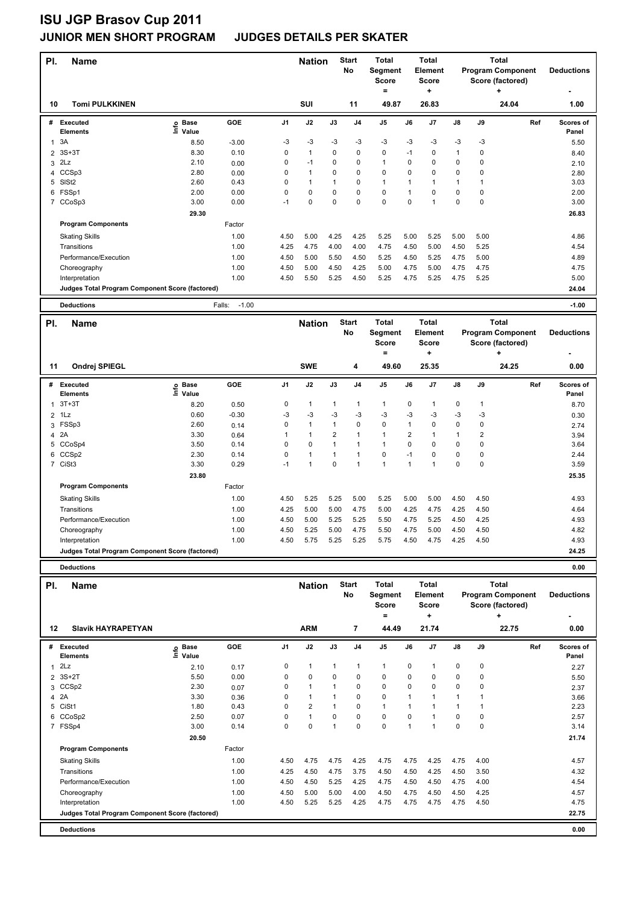# **ISU JGP Brasov Cup 2011**

## **JUNIOR MEN SHORT PROGRAM JUDGES DETAILS PER SKATER**

| PI.                 | <b>Name</b>                                     |                   |                   |                | <b>Nation</b> |                | <b>Start</b><br>No | Total<br>Segment<br><b>Score</b><br>$\qquad \qquad =$ |                | <b>Total</b><br><b>Element</b><br>Score<br>٠ |                |                | <b>Total</b><br><b>Program Component</b><br>Score (factored)<br>٠ | <b>Deductions</b>  |
|---------------------|-------------------------------------------------|-------------------|-------------------|----------------|---------------|----------------|--------------------|-------------------------------------------------------|----------------|----------------------------------------------|----------------|----------------|-------------------------------------------------------------------|--------------------|
| 10                  | <b>Tomi PULKKINEN</b>                           |                   |                   |                | SUI           |                | 11                 | 49.87                                                 |                | 26.83                                        |                |                | 24.04                                                             | 1.00               |
| #                   | Executed<br><b>Elements</b>                     | e Base<br>⊆ Value | GOE               | J <sub>1</sub> | J2            | J3             | J4                 | J5                                                    | J6             | J7                                           | J8             | J9             | Ref                                                               | Scores of<br>Panel |
| 1                   | 3A                                              | 8.50              | $-3.00$           | $-3$           | $-3$          | $-3$           | $-3$               | -3                                                    | -3             | -3                                           | -3             | $-3$           |                                                                   | 5.50               |
| $\overline{2}$      | $3S+3T$                                         | 8.30              | 0.10              | $\mathsf 0$    | $\mathbf{1}$  | 0              | 0                  | 0                                                     | $-1$           | $\mathbf 0$                                  | $\overline{1}$ | $\pmb{0}$      |                                                                   | 8.40               |
| 3                   | 2Lz                                             | 2.10              | 0.00              | $\mathsf 0$    | $-1$          | 0              | 0                  | $\mathbf{1}$                                          | $\mathbf 0$    | 0                                            | $\mathbf 0$    | 0              |                                                                   | 2.10               |
| 4                   | CCSp3                                           | 2.80              | 0.00              | 0              | $\mathbf{1}$  | 0              | $\Omega$           | $\Omega$                                              | $\pmb{0}$      | $\Omega$                                     | $\mathbf 0$    | $\pmb{0}$      |                                                                   | 2.80               |
|                     | 5 SISt2                                         | 2.60              | 0.43              | 0              | 1             | 1              | 0                  | 1                                                     | $\overline{1}$ | 1                                            | $\mathbf{1}$   | 1              |                                                                   | 3.03               |
| 6                   | FSSp1                                           | 2.00              | 0.00              | $\mathsf 0$    | 0             | $\mathbf 0$    | 0                  | $\mathbf 0$                                           | $\overline{1}$ | 0                                            | $\mathbf 0$    | $\pmb{0}$      |                                                                   | 2.00               |
|                     | 7 CCoSp3                                        | 3.00              | 0.00              | $-1$           | 0             | $\mathbf 0$    | $\mathbf 0$        | 0                                                     | $\mathbf 0$    | $\mathbf{1}$                                 | $\pmb{0}$      | $\pmb{0}$      |                                                                   | 3.00               |
|                     |                                                 | 29.30             |                   |                |               |                |                    |                                                       |                |                                              |                |                |                                                                   | 26.83              |
|                     | <b>Program Components</b>                       |                   | Factor            |                |               |                |                    |                                                       |                |                                              |                |                |                                                                   |                    |
|                     | <b>Skating Skills</b>                           |                   | 1.00              | 4.50           | 5.00          | 4.25           | 4.25               | 5.25                                                  | 5.00           | 5.25                                         | 5.00           | 5.00           |                                                                   | 4.86               |
|                     | Transitions                                     |                   | 1.00              | 4.25           | 4.75          | 4.00           | 4.00               | 4.75                                                  | 4.50           | 5.00                                         | 4.50           | 5.25           |                                                                   | 4.54               |
|                     | Performance/Execution                           |                   | 1.00              | 4.50           | 5.00          | 5.50           | 4.50               | 5.25                                                  | 4.50           | 5.25                                         | 4.75           | 5.00           |                                                                   | 4.89               |
|                     | Choreography                                    |                   | 1.00              | 4.50           | 5.00          | 4.50           | 4.25               | 5.00                                                  | 4.75           | 5.00                                         | 4.75           | 4.75           |                                                                   | 4.75               |
|                     | Interpretation                                  |                   | 1.00              | 4.50           | 5.50          | 5.25           | 4.50               | 5.25                                                  | 4.75           | 5.25                                         | 4.75           | 5.25           |                                                                   | 5.00               |
|                     | Judges Total Program Component Score (factored) |                   |                   |                |               |                |                    |                                                       |                |                                              |                |                |                                                                   | 24.04              |
|                     |                                                 |                   |                   |                |               |                |                    |                                                       |                |                                              |                |                |                                                                   |                    |
|                     | <b>Deductions</b>                               |                   | $-1.00$<br>Falls: |                |               |                |                    |                                                       |                |                                              |                |                |                                                                   | $-1.00$            |
| PI.                 | Name                                            |                   |                   |                | <b>Nation</b> |                | <b>Start</b>       | <b>Total</b>                                          |                | <b>Total</b>                                 |                |                | <b>Total</b>                                                      |                    |
|                     |                                                 |                   |                   |                |               |                |                    |                                                       |                |                                              |                |                |                                                                   |                    |
|                     |                                                 |                   |                   |                |               |                | No                 | Segment                                               |                | <b>Element</b>                               |                |                | <b>Program Component</b>                                          | <b>Deductions</b>  |
|                     |                                                 |                   |                   |                |               |                |                    | Score                                                 |                | <b>Score</b>                                 |                |                | Score (factored)                                                  |                    |
|                     |                                                 |                   |                   |                |               |                |                    | $\equiv$                                              |                | ÷                                            |                |                | $\ddot{}$                                                         |                    |
| 11                  | <b>Ondrej SPIEGL</b>                            |                   |                   |                | <b>SWE</b>    |                | 4                  | 49.60                                                 |                | 25.35                                        |                |                | 24.25                                                             | 0.00               |
| #                   |                                                 |                   |                   |                |               |                |                    |                                                       |                |                                              |                |                |                                                                   |                    |
|                     | <b>Executed</b><br>Elements                     | e Base<br>⊑ Value | GOE               | J <sub>1</sub> | J2            | J3             | J <sub>4</sub>     | J <sub>5</sub>                                        | J6             | J7                                           | J8             | J9             | Ref                                                               | Scores of<br>Panel |
| 1                   | $3T+3T$                                         |                   |                   | 0              | $\mathbf{1}$  | 1              | 1                  | $\mathbf{1}$                                          | $\mathbf 0$    | $\mathbf{1}$                                 | $\mathbf 0$    | $\mathbf{1}$   |                                                                   |                    |
|                     | 1Lz                                             | 8.20<br>0.60      | 0.50<br>$-0.30$   | -3             | $-3$          | -3             | $-3$               | $-3$                                                  | $-3$           | -3                                           | $-3$           | -3             |                                                                   | 8.70               |
| $\overline{2}$<br>3 | FSSp3                                           | 2.60              | 0.14              | $\mathsf 0$    | $\mathbf{1}$  | $\overline{1}$ | $\mathbf 0$        | 0                                                     | $\mathbf{1}$   |                                              | $\pmb{0}$      | $\pmb{0}$      |                                                                   | 0.30<br>2.74       |
|                     | 2A                                              | 3.30              |                   | 1              | $\mathbf{1}$  | $\overline{2}$ | 1                  | $\mathbf{1}$                                          | $\overline{2}$ | $\pmb{0}$<br>1                               | $\overline{1}$ | $\overline{2}$ |                                                                   |                    |
| 4<br>5              | CCoSp4                                          | 3.50              | 0.64<br>0.14      | 0              | 0             | $\mathbf{1}$   | 1                  | $\mathbf{1}$                                          | $\Omega$       | $\pmb{0}$                                    | $\mathbf 0$    | $\pmb{0}$      |                                                                   | 3.94<br>3.64       |
| 6                   | CCS <sub>p2</sub>                               | 2.30              | 0.14              | 0              | 1             | 1              | 1                  | 0                                                     | $-1$           | 0                                            | $\mathbf 0$    | $\mathbf 0$    |                                                                   | 2.44               |
|                     | 7 CiSt3                                         | 3.30              | 0.29              | $-1$           | $\mathbf{1}$  | $\mathbf 0$    | 1                  | $\mathbf{1}$                                          | $\mathbf{1}$   | $\mathbf{1}$                                 | $\pmb{0}$      | $\pmb{0}$      |                                                                   | 3.59               |
|                     |                                                 |                   |                   |                |               |                |                    |                                                       |                |                                              |                |                |                                                                   |                    |
|                     | <b>Program Components</b>                       | 23.80             | Factor            |                |               |                |                    |                                                       |                |                                              |                |                |                                                                   | 25.35              |
|                     |                                                 |                   |                   | 4.50           |               | 5.25           | 5.00               |                                                       | 5.00           | 5.00                                         |                |                |                                                                   |                    |
|                     | <b>Skating Skills</b><br>Transitions            |                   | 1.00              |                | 5.25          |                |                    | 5.25                                                  |                |                                              | 4.50           | 4.50           |                                                                   | 4.93<br>4.64       |
|                     |                                                 |                   | 1.00              | 4.25           | 5.00          | 5.00           | 4.75               | 5.00                                                  | 4.25           | 4.75                                         | 4.25           | 4.50           |                                                                   |                    |
|                     | Performance/Execution                           |                   | 1.00              | 4.50           | 5.00          | 5.25           | 5.25               | 5.50                                                  | 4.75           | 5.25                                         | 4.50           | 4.25           |                                                                   | 4.93               |
|                     | Choreography                                    |                   | 1.00              | 4.50           | 5.25          | 5.00           | 4.75               | 5.50                                                  | 4.75           | 5.00                                         | 4.50           | 4.50           |                                                                   | 4.82               |
|                     | Interpretation                                  |                   | 1.00              | 4.50           | 5.75          | 5.25           | 5.25               | 5.75                                                  | 4.50           | 4.75                                         | 4.25           | 4.50           |                                                                   | 4.93               |
|                     | Judges Total Program Component Score (factored) |                   |                   |                |               |                |                    |                                                       |                |                                              |                |                |                                                                   | 24.25              |
|                     | <b>Deductions</b>                               |                   |                   |                |               |                |                    |                                                       |                |                                              |                |                |                                                                   | 0.00               |

| гь.<br>12 | nane<br><b>Slavik HAYRAPETYAN</b>               |                            |        |                | Nauvu<br><b>ARM</b> |          | No<br>7        | Segment<br><b>Score</b><br>=<br>44.49 |      | Element<br><b>Score</b><br>٠<br>21.74 |               |      | <b>Program Component</b><br>Score (factored)<br>٠<br>22.75 | <b>Deductions</b><br>0.00 |
|-----------|-------------------------------------------------|----------------------------|--------|----------------|---------------------|----------|----------------|---------------------------------------|------|---------------------------------------|---------------|------|------------------------------------------------------------|---------------------------|
|           |                                                 |                            |        |                |                     |          |                |                                       |      |                                       |               |      |                                                            |                           |
| #         | Executed<br><b>Elements</b>                     | <b>Base</b><br>۴ů<br>Value | GOE    | J <sub>1</sub> | J2                  | J3       | J <sub>4</sub> | J <sub>5</sub>                        | J6   | J7                                    | $\mathsf{J}8$ | J9   | Ref                                                        | Scores of<br>Panel        |
|           | $1$ $2Lz$                                       | 2.10                       | 0.17   | 0              | $\mathbf{1}$        | 1        | $\mathbf{1}$   | $\mathbf{1}$                          | 0    |                                       | 0             | 0    |                                                            | 2.27                      |
|           | 2 3S+2T                                         | 5.50                       | 0.00   | 0              | 0                   | 0        | 0              | 0                                     | 0    | 0                                     | 0             | 0    |                                                            | 5.50                      |
|           | 3 CCSp2                                         | 2.30                       | 0.07   | 0              | $\mathbf{1}$        |          | 0              | 0                                     | 0    | 0                                     | $\pmb{0}$     | 0    |                                                            | 2.37                      |
|           | 4 2A                                            | 3.30                       | 0.36   | 0              | $\mathbf{1}$        |          | 0              | 0                                     |      |                                       |               |      |                                                            | 3.66                      |
|           | 5 CiSt1                                         | 1.80                       | 0.43   | 0              | $\overline{2}$      |          | 0              | $\mathbf{1}$                          |      |                                       | 1             |      |                                                            | 2.23                      |
|           | 6 CCoSp2                                        | 2.50                       | 0.07   | 0              | $\mathbf{1}$        | $\Omega$ | 0              | 0                                     | 0    |                                       | 0             | 0    |                                                            | 2.57                      |
|           | 7 FSSp4                                         | 3.00                       | 0.14   | 0              | $\mathbf 0$         | 1        | $\mathbf 0$    | 0                                     | 1    |                                       | $\mathbf 0$   | 0    |                                                            | 3.14                      |
|           |                                                 | 20.50                      |        |                |                     |          |                |                                       |      |                                       |               |      |                                                            | 21.74                     |
|           | <b>Program Components</b>                       |                            | Factor |                |                     |          |                |                                       |      |                                       |               |      |                                                            |                           |
|           | <b>Skating Skills</b>                           |                            | 1.00   | 4.50           | 4.75                | 4.75     | 4.25           | 4.75                                  | 4.75 | 4.25                                  | 4.75          | 4.00 |                                                            | 4.57                      |
|           | Transitions                                     |                            | 1.00   | 4.25           | 4.50                | 4.75     | 3.75           | 4.50                                  | 4.50 | 4.25                                  | 4.50          | 3.50 |                                                            | 4.32                      |
|           | Performance/Execution                           |                            | 1.00   | 4.50           | 4.50                | 5.25     | 4.25           | 4.75                                  | 4.50 | 4.50                                  | 4.75          | 4.00 |                                                            | 4.54                      |
|           | Choreography                                    |                            | 1.00   | 4.50           | 5.00                | 5.00     | 4.00           | 4.50                                  | 4.75 | 4.50                                  | 4.50          | 4.25 |                                                            | 4.57                      |
|           | Interpretation                                  |                            | 1.00   | 4.50           | 5.25                | 5.25     | 4.25           | 4.75                                  | 4.75 | 4.75                                  | 4.75          | 4.50 |                                                            | 4.75                      |
|           | Judges Total Program Component Score (factored) |                            |        |                |                     |          |                |                                       |      |                                       |               |      |                                                            | 22.75                     |
|           | <b>Deductions</b>                               |                            |        |                |                     |          |                |                                       |      |                                       |               |      |                                                            | 0.00                      |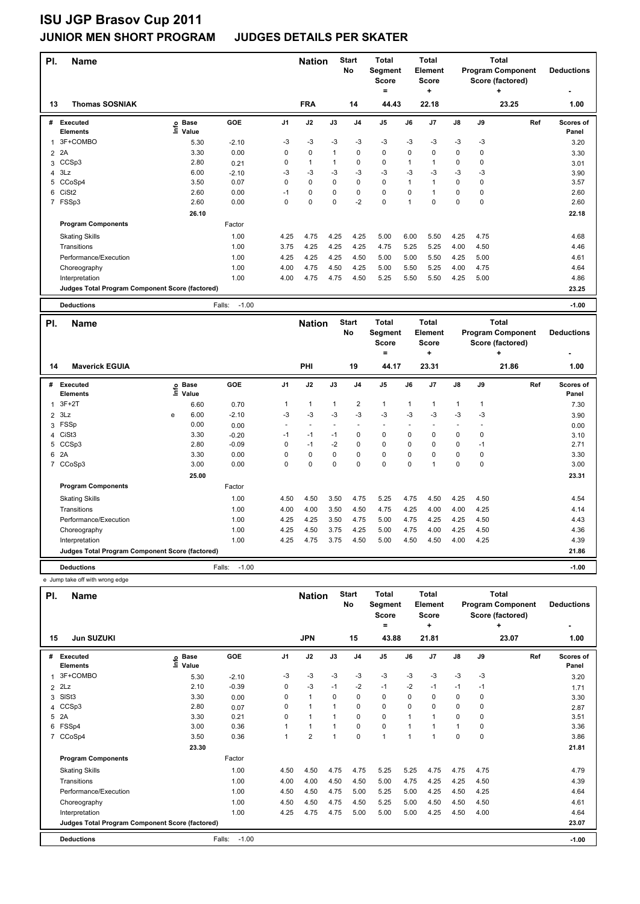## **ISU JGP Brasov Cup 2011**

### **JUNIOR MEN SHORT PROGRAM JUDGES DETAILS PER SKATER**

| PI.            | <b>Name</b>                                     |      |                   |                   |                | <b>Nation</b>            |              | <b>Start</b><br>No      | <b>Total</b><br>Segment |              | <b>Total</b><br><b>Element</b> |                |      | <b>Total</b><br><b>Program Component</b> | <b>Deductions</b> |
|----------------|-------------------------------------------------|------|-------------------|-------------------|----------------|--------------------------|--------------|-------------------------|-------------------------|--------------|--------------------------------|----------------|------|------------------------------------------|-------------------|
|                |                                                 |      |                   |                   |                |                          |              |                         | <b>Score</b><br>$=$     |              | <b>Score</b><br>÷              |                |      | Score (factored)<br>$\ddot{}$            |                   |
|                |                                                 |      |                   |                   |                |                          |              |                         |                         |              |                                |                |      |                                          |                   |
| 13             | <b>Thomas SOSNIAK</b>                           |      |                   |                   |                | <b>FRA</b>               |              | 14                      | 44.43                   |              | 22.18                          |                |      | 23.25                                    | 1.00              |
| #              | Executed                                        |      | <b>Base</b>       | GOE               | J1             | J2                       | J3           | J <sub>4</sub>          | J <sub>5</sub>          | J6           | J7                             | J8             | J9   | Ref                                      | Scores of         |
|                | Elements                                        |      | e Base<br>⊑ Value |                   |                |                          |              |                         |                         |              |                                |                |      |                                          | Panel             |
| $\mathbf{1}$   | 3F+COMBO                                        |      | 5.30              | $-2.10$           | -3             | $-3$                     | $-3$         | $-3$                    | -3                      | $-3$         | -3                             | -3             | $-3$ |                                          | 3.20              |
| $\overline{c}$ | 2A                                              |      | 3.30              | 0.00              | 0              | $\mathbf 0$              | $\mathbf{1}$ | $\mathbf 0$             | $\mathbf 0$             | $\mathbf 0$  | 0                              | 0              | 0    |                                          | 3.30              |
| 3              | CCSp3                                           |      | 2.80              | 0.21              | 0              | $\mathbf{1}$             | 1            | 0                       | $\pmb{0}$               | 1            | $\mathbf{1}$                   | 0              | 0    |                                          | 3.01              |
| 4              | 3Lz                                             |      | 6.00              | $-2.10$           | $-3$           | $-3$                     | $-3$         | $-3$                    | -3                      | $-3$         | -3                             | -3             | $-3$ |                                          | 3.90              |
| 5              | CCoSp4                                          |      | 3.50              | 0.07              | 0              | $\mathbf 0$              | 0            | $\mathbf 0$             | $\mathbf 0$             | $\mathbf{1}$ | $\mathbf{1}$                   | 0              | 0    |                                          | 3.57              |
| 6              | CiSt <sub>2</sub>                               |      | 2.60              | 0.00              | $-1$           | $\pmb{0}$                | 0            | $\mathbf 0$             | $\pmb{0}$               | 0            | $\mathbf{1}$                   | 0              | 0    |                                          | 2.60              |
|                | 7 FSSp3                                         |      | 2.60              | 0.00              | $\mathbf 0$    | $\mathbf 0$              | 0            | $-2$                    | $\mathbf 0$             | $\mathbf{1}$ | 0                              | $\pmb{0}$      | 0    |                                          | 2.60              |
|                |                                                 |      | 26.10             |                   |                |                          |              |                         |                         |              |                                |                |      |                                          | 22.18             |
|                | <b>Program Components</b>                       |      |                   | Factor            |                |                          |              |                         |                         |              |                                |                |      |                                          |                   |
|                | <b>Skating Skills</b>                           |      |                   | 1.00              | 4.25           | 4.75                     | 4.25         | 4.25                    | 5.00                    | 6.00         | 5.50                           | 4.25           | 4.75 |                                          | 4.68              |
|                | Transitions                                     |      |                   | 1.00              | 3.75           | 4.25                     | 4.25         | 4.25                    | 4.75                    | 5.25         | 5.25                           | 4.00           | 4.50 |                                          | 4.46              |
|                | Performance/Execution                           |      |                   | 1.00              | 4.25           | 4.25                     | 4.25         | 4.50                    | 5.00                    | 5.00         | 5.50                           | 4.25           | 5.00 |                                          | 4.61              |
|                | Choreography                                    |      |                   | 1.00              | 4.00           | 4.75                     | 4.50         | 4.25                    | 5.00                    | 5.50         | 5.25                           | 4.00           | 4.75 |                                          | 4.64              |
|                | Interpretation                                  |      |                   | 1.00              | 4.00           | 4.75                     | 4.75         | 4.50                    | 5.25                    | 5.50         | 5.50                           | 4.25           | 5.00 |                                          | 4.86              |
|                | Judges Total Program Component Score (factored) |      |                   |                   |                |                          |              |                         |                         |              |                                |                |      |                                          | 23.25             |
|                |                                                 |      |                   |                   |                |                          |              |                         |                         |              |                                |                |      |                                          |                   |
|                |                                                 |      |                   |                   |                |                          |              |                         |                         |              |                                |                |      |                                          |                   |
|                | <b>Deductions</b>                               |      |                   | $-1.00$<br>Falls: |                |                          |              |                         |                         |              |                                |                |      |                                          | $-1.00$           |
| PI.            | Name                                            |      |                   |                   |                | <b>Nation</b>            |              | <b>Start</b>            | <b>Total</b>            |              | <b>Total</b>                   |                |      | <b>Total</b>                             |                   |
|                |                                                 |      |                   |                   |                |                          |              | No                      | Segment                 |              | Element                        |                |      | <b>Program Component</b>                 | <b>Deductions</b> |
|                |                                                 |      |                   |                   |                |                          |              |                         | <b>Score</b>            |              | <b>Score</b>                   |                |      | Score (factored)                         |                   |
|                |                                                 |      |                   |                   |                |                          |              |                         | $\equiv$                |              | ۰                              |                |      | ÷                                        |                   |
| 14             | <b>Maverick EGUIA</b>                           |      |                   |                   |                | PHI                      |              | 19                      | 44.17                   |              | 23.31                          |                |      | 21.86                                    | 1.00              |
|                |                                                 |      |                   |                   |                |                          |              |                         |                         |              |                                |                |      |                                          |                   |
| #              | <b>Executed</b>                                 |      | <b>Base</b>       | <b>GOE</b>        | J <sub>1</sub> | J2                       | J3           | J <sub>4</sub>          | J <sub>5</sub>          | J6           | J <sub>7</sub>                 | J8             | J9   | Ref                                      | Scores of         |
|                | <b>Elements</b>                                 | ١nf٥ | Value             |                   |                |                          |              |                         |                         |              |                                |                |      |                                          | Panel             |
| 1              | $3F+2T$                                         |      | 6.60              | 0.70              | 1              | $\mathbf{1}$             | 1            | $\overline{\mathbf{c}}$ | $\mathbf{1}$            | 1            | $\mathbf{1}$                   | $\mathbf{1}$   | 1    |                                          | 7.30              |
|                | $2$ $3Lz$                                       | e    | 6.00              | $-2.10$           | $-3$           | $-3$                     | $-3$         | $-3$                    | $-3$                    | $-3$         | $-3$                           | -3             | $-3$ |                                          | 3.90              |
| 3              | FSSp                                            |      | 0.00              | 0.00              | í,             | $\overline{\phantom{a}}$ |              | ÷,                      | ÷,                      |              |                                | $\blacksquare$ |      |                                          | 0.00              |
| $\overline{4}$ | CiSt <sub>3</sub>                               |      | 3.30              | $-0.20$           | $-1$           | $-1$                     | $-1$         | $\mathbf 0$             | $\pmb{0}$               | $\mathsf 0$  | 0                              | 0              | 0    |                                          | 3.10              |
| 5              | CCSp3                                           |      | 2.80              | $-0.09$           | 0              | $-1$                     | $-2$         | $\mathbf 0$             | $\mathbf 0$             | $\mathbf 0$  | $\Omega$                       | 0              | $-1$ |                                          | 2.71              |
|                | 6 2A                                            |      | 3.30              | 0.00              | 0              | $\mathbf 0$              | 0            | $\mathbf 0$             | $\mathbf 0$             | $\mathbf 0$  | 0                              | 0              | 0    |                                          | 3.30              |
| $\overline{7}$ | CCoSp3                                          |      | 3.00              | 0.00              | 0              | $\mathbf 0$              | 0            | $\mathbf 0$             | $\mathbf 0$             | $\mathbf 0$  | $\mathbf{1}$                   | $\mathbf 0$    | 0    |                                          | 3.00              |
|                |                                                 |      | 25.00             |                   |                |                          |              |                         |                         |              |                                |                |      |                                          | 23.31             |
|                | <b>Program Components</b>                       |      |                   | Factor            |                |                          |              |                         |                         |              |                                |                |      |                                          |                   |
|                | <b>Skating Skills</b>                           |      |                   | 1.00              | 4.50           | 4.50                     | 3.50         | 4.75                    | 5.25                    | 4.75         | 4.50                           | 4.25           | 4.50 |                                          | 4.54              |
|                | Transitions                                     |      |                   | 1.00              | 4.00           | 4.00                     | 3.50         | 4.50                    | 4.75                    | 4.25         | 4.00                           | 4.00           | 4.25 |                                          | 4.14              |
|                | Performance/Execution                           |      |                   | 1.00              | 4.25           | 4.25                     | 3.50         | 4.75                    | 5.00                    | 4.75         | 4.25                           | 4.25           | 4.50 |                                          | 4.43              |
|                | Choreography                                    |      |                   | 1.00              | 4.25           | 4.50                     | 3.75         | 4.25                    | 5.00                    | 4.75         | 4.00                           | 4.25           | 4.50 |                                          | 4.36              |

**Judges Total Program Component Score (factored) 21.86**

 e Jump take off with wrong edge **Name Deductions - Nation Total Pl. Start Segment Score = Total Element Score + Total Program Component Score (factored) + No # Executed Elements Base Value GOE J1 J2 J3 J4 J5 J6 J7 J8 J9 Scores of Panel** 1 5.30 -2.10 -3 -3 -3 -3 -3 -3 -3 -3 -3 **Ref**  3F+COMBO 3.20 **Info 15 Jun SUZUKI JPN 15 43.88 21.81 23.07 1.00** 2 2Lz 2.10 -0.39 0 -3 -1 -2 -1 -2 -1 -1 -1 1.71 3 SlSt3 3.30 0.00 0 1 0 0 0 0 0 0 0 3.30 4 CCSp3 2.80 0.07 0 1 1 0 0 0 0 0 0 2.87 5 2A 3.30 0.21 0 1 1 0 0 1 1 0 0 3.51 6 FSSp4 3.00 0.36 1 1 1 0 0 1 1 1 0 3.36 7 CCoSp4 3.50 0.36 1 2 1 0 1 1 1 0 0 3.86  **23.30 21.81 Program Components**  Skating Skills 1.00 4.50 4.50 4.75 4.75 5.25 5.25 4.75 4.75 4.75 Factor 1.00 4.79 Transitions 1.00 4.00 4.00 4.50 4.50 5.00 4.75 4.25 4.25 4.50 4.39 Performance/Execution 1.00 4.50 4.50 4.75 5.00 5.25 5.00 4.25 4.50 4.25 4.64 Choreography 1.00 4.50 4.50 4.75 4.50 5.25 5.00 4.50 4.50 4.50 4.61 Interpretation 1.00 1.00 4.25 4.75 4.75 5.00 5.00 5.00 4.25 4.00 4.64 **Deductions** Falls: -1.00 **-1.00 Judges Total Program Component Score (factored) 23.07**

**Deductions** Falls: -1.00 **-1.00**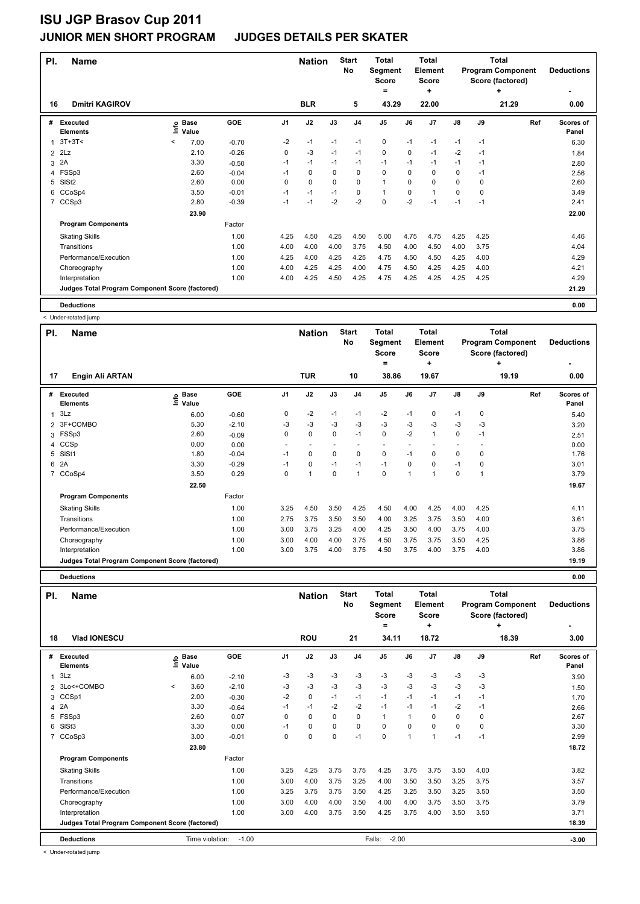| PI.            | <b>Name</b>                                     |         |                      |         |                | <b>Nation</b> |          | <b>Start</b><br>No | <b>Total</b><br>Segment<br><b>Score</b><br>۰ |          | <b>Total</b><br>Element<br><b>Score</b><br>÷ |               |      | <b>Total</b><br><b>Program Component</b><br>Score (factored)<br>÷ | <b>Deductions</b>  |
|----------------|-------------------------------------------------|---------|----------------------|---------|----------------|---------------|----------|--------------------|----------------------------------------------|----------|----------------------------------------------|---------------|------|-------------------------------------------------------------------|--------------------|
| 16             | <b>Dmitri KAGIROV</b>                           |         |                      |         |                | <b>BLR</b>    |          | 5                  | 43.29                                        |          | 22.00                                        |               |      | 21.29                                                             | 0.00               |
| #              | Executed<br><b>Elements</b>                     | ١ifo    | <b>Base</b><br>Value | GOE     | J <sub>1</sub> | J2            | J3       | J <sub>4</sub>     | J <sub>5</sub>                               | J6       | J7                                           | $\mathsf{J}8$ | J9   | Ref                                                               | Scores of<br>Panel |
| 1              | $3T+3T<$                                        | $\prec$ | 7.00                 | $-0.70$ | $-2$           | $-1$          | $-1$     | $-1$               | 0                                            | $-1$     | $-1$                                         | $-1$          | $-1$ |                                                                   | 6.30               |
| $\overline{2}$ | 2Lz                                             |         | 2.10                 | $-0.26$ | 0              | $-3$          | $-1$     | $-1$               | $\pmb{0}$                                    | 0        | $-1$                                         | $-2$          | $-1$ |                                                                   | 1.84               |
| 3              | 2A                                              |         | 3.30                 | $-0.50$ | $-1$           | $-1$          | $-1$     | $-1$               | $-1$                                         | $-1$     | $-1$                                         | $-1$          | $-1$ |                                                                   | 2.80               |
| 4              | FSSp3                                           |         | 2.60                 | $-0.04$ | $-1$           | 0             | 0        | 0                  | 0                                            | 0        | $\Omega$                                     | 0             | $-1$ |                                                                   | 2.56               |
| 5              | SISt <sub>2</sub>                               |         | 2.60                 | 0.00    | 0              | 0             | $\Omega$ | 0                  | $\mathbf{1}$                                 | $\Omega$ | $\Omega$                                     | 0             | 0    |                                                                   | 2.60               |
| 6              | CCoSp4                                          |         | 3.50                 | $-0.01$ | $-1$           | $-1$          | $-1$     | 0                  | $\mathbf{1}$                                 | 0        |                                              | 0             | 0    |                                                                   | 3.49               |
| $\overline{7}$ | CCSp3                                           |         | 2.80                 | $-0.39$ | $-1$           | $-1$          | $-2$     | $-2$               | $\mathbf 0$                                  | $-2$     | $-1$                                         | $-1$          | $-1$ |                                                                   | 2.41               |
|                |                                                 |         | 23.90                |         |                |               |          |                    |                                              |          |                                              |               |      |                                                                   | 22.00              |
|                | <b>Program Components</b>                       |         |                      | Factor  |                |               |          |                    |                                              |          |                                              |               |      |                                                                   |                    |
|                | <b>Skating Skills</b>                           |         |                      | 1.00    | 4.25           | 4.50          | 4.25     | 4.50               | 5.00                                         | 4.75     | 4.75                                         | 4.25          | 4.25 |                                                                   | 4.46               |
|                | Transitions                                     |         |                      | 1.00    | 4.00           | 4.00          | 4.00     | 3.75               | 4.50                                         | 4.00     | 4.50                                         | 4.00          | 3.75 |                                                                   | 4.04               |
|                | Performance/Execution                           |         |                      | 1.00    | 4.25           | 4.00          | 4.25     | 4.25               | 4.75                                         | 4.50     | 4.50                                         | 4.25          | 4.00 |                                                                   | 4.29               |
|                | Choreography                                    |         |                      | 1.00    | 4.00           | 4.25          | 4.25     | 4.00               | 4.75                                         | 4.50     | 4.25                                         | 4.25          | 4.00 |                                                                   | 4.21               |
|                | Interpretation                                  |         |                      | 1.00    | 4.00           | 4.25          | 4.50     | 4.25               | 4.75                                         | 4.25     | 4.25                                         | 4.25          | 4.25 |                                                                   | 4.29               |
|                | Judges Total Program Component Score (factored) |         |                      |         |                |               |          |                    |                                              |          |                                              |               |      |                                                                   | 21.29              |
|                | <b>Deductions</b>                               |         |                      |         |                |               |          |                    |                                              |          |                                              |               |      |                                                                   | 0.00               |

< Under-rotated jump

| PI. | <b>Name</b>                                     |                                |         |      | <b>Nation</b>            |          | <b>Start</b><br><b>No</b> | <b>Total</b><br>Segment<br><b>Score</b> |             | <b>Total</b><br>Element<br><b>Score</b> |               |      | <b>Total</b><br><b>Program Component</b><br>Score (factored) | <b>Deductions</b>  |
|-----|-------------------------------------------------|--------------------------------|---------|------|--------------------------|----------|---------------------------|-----------------------------------------|-------------|-----------------------------------------|---------------|------|--------------------------------------------------------------|--------------------|
|     |                                                 |                                |         |      |                          |          |                           | =                                       |             | ٠                                       |               |      | ÷                                                            |                    |
| 17  | <b>Engin Ali ARTAN</b>                          |                                |         |      | <b>TUR</b>               |          | 10                        | 38.86                                   |             | 19.67                                   |               |      | 19.19                                                        | 0.00               |
| #   | Executed<br><b>Elements</b>                     | <b>Base</b><br>۰<br>έ<br>Value | GOE     | J1   | J2                       | J3       | J <sub>4</sub>            | J <sub>5</sub>                          | J6          | J7                                      | $\mathsf{J}8$ | J9   | Ref                                                          | Scores of<br>Panel |
| 1   | 3Lz                                             | 6.00                           | $-0.60$ | 0    | $-2$                     | $-1$     | $-1$                      | $-2$                                    | $-1$        | 0                                       | $-1$          | 0    |                                                              | 5.40               |
|     | 2 3F+COMBO                                      | 5.30                           | $-2.10$ | -3   | $-3$                     | $-3$     | $-3$                      | $-3$                                    | $-3$        | $-3$                                    | $-3$          | $-3$ |                                                              | 3.20               |
| 3   | FSSp3                                           | 2.60                           | $-0.09$ | 0    | $\mathbf 0$              | $\Omega$ | $-1$                      | $\mathbf 0$                             | $-2$        | 1                                       | 0             | $-1$ |                                                              | 2.51               |
| 4   | CCSp                                            | 0.00                           | 0.00    |      | $\overline{\phantom{a}}$ |          | ٠.                        | $\overline{\phantom{a}}$                |             |                                         |               |      |                                                              | 0.00               |
| 5   | SISt1                                           | 1.80                           | $-0.04$ | $-1$ | 0                        | 0        | 0                         | 0                                       | $-1$        | 0                                       | 0             | 0    |                                                              | 1.76               |
| 6   | 2A                                              | 3.30                           | $-0.29$ | $-1$ | 0                        | $-1$     | $-1$                      | $-1$                                    | $\Omega$    | 0                                       | $-1$          | 0    |                                                              | 3.01               |
|     | 7 CCoSp4                                        | 3.50                           | 0.29    | 0    | $\mathbf{1}$             | $\Omega$ | $\mathbf{1}$              | 0                                       | $\mathbf 1$ | 1                                       | $\mathbf 0$   |      |                                                              | 3.79               |
|     |                                                 | 22.50                          |         |      |                          |          |                           |                                         |             |                                         |               |      |                                                              | 19.67              |
|     | <b>Program Components</b>                       |                                | Factor  |      |                          |          |                           |                                         |             |                                         |               |      |                                                              |                    |
|     | <b>Skating Skills</b>                           |                                | 1.00    | 3.25 | 4.50                     | 3.50     | 4.25                      | 4.50                                    | 4.00        | 4.25                                    | 4.00          | 4.25 |                                                              | 4.11               |
|     | Transitions                                     |                                | 1.00    | 2.75 | 3.75                     | 3.50     | 3.50                      | 4.00                                    | 3.25        | 3.75                                    | 3.50          | 4.00 |                                                              | 3.61               |
|     | Performance/Execution                           |                                | 1.00    | 3.00 | 3.75                     | 3.25     | 4.00                      | 4.25                                    | 3.50        | 4.00                                    | 3.75          | 4.00 |                                                              | 3.75               |
|     | Choreography                                    |                                | 1.00    | 3.00 | 4.00                     | 4.00     | 3.75                      | 4.50                                    | 3.75        | 3.75                                    | 3.50          | 4.25 |                                                              | 3.86               |
|     | Interpretation                                  |                                | 1.00    | 3.00 | 3.75                     | 4.00     | 3.75                      | 4.50                                    | 3.75        | 4.00                                    | 3.75          | 4.00 |                                                              | 3.86               |
|     | Judges Total Program Component Score (factored) |                                |         |      |                          |          |                           |                                         |             |                                         |               |      |                                                              | 19.19              |

**Deductions 0.00**

| PI.            | <b>Name</b>                                     |         |                      |         |                | <b>Nation</b> |             | <b>Start</b><br>No | Total<br>Segment<br><b>Score</b><br>= |                | <b>Total</b><br>Element<br>Score<br>÷ |               |      | Total<br><b>Program Component</b><br>Score (factored)<br>÷ | <b>Deductions</b>         |
|----------------|-------------------------------------------------|---------|----------------------|---------|----------------|---------------|-------------|--------------------|---------------------------------------|----------------|---------------------------------------|---------------|------|------------------------------------------------------------|---------------------------|
| 18             | <b>Vlad IONESCU</b>                             |         |                      |         |                | <b>ROU</b>    |             | 21                 | 34.11                                 |                | 18.72                                 |               |      | 18.39                                                      | 3.00                      |
| #              | <b>Executed</b><br><b>Elements</b>              | lnfo    | <b>Base</b><br>Value | GOE     | J <sub>1</sub> | J2            | J3          | J <sub>4</sub>     | J <sub>5</sub>                        | J6             | J <sub>7</sub>                        | $\mathsf{J}8$ | J9   | Ref                                                        | <b>Scores of</b><br>Panel |
| $\mathbf{1}$   | 3Lz                                             |         | 6.00                 | $-2.10$ | -3             | $-3$          | $-3$        | -3                 | $-3$                                  | $-3$           | -3                                    | $-3$          | -3   |                                                            | 3.90                      |
| 2              | 3Lo<+COMBO                                      | $\prec$ | 3.60                 | $-2.10$ | $-3$           | $-3$          | $-3$        | $-3$               | $-3$                                  | $-3$           | $-3$                                  | $-3$          | -3   |                                                            | 1.50                      |
| 3              | CCSp1                                           |         | 2.00                 | $-0.30$ | $-2$           | $\mathbf 0$   | $-1$        | $-1$               | $-1$                                  | $-1$           | $-1$                                  | $-1$          | $-1$ |                                                            | 1.70                      |
| 4              | 2A                                              |         | 3.30                 | $-0.64$ | $-1$           | $-1$          | $-2$        | $-2$               | $-1$                                  | $-1$           | $-1$                                  | $-2$          | $-1$ |                                                            | 2.66                      |
| 5              | FSSp3                                           |         | 2.60                 | 0.07    | $\Omega$       | $\Omega$      | $\Omega$    | $\mathbf 0$        | $\mathbf{1}$                          | $\overline{1}$ | 0                                     | $\mathbf 0$   | 0    |                                                            | 2.67                      |
| 6              | SIS <sub>t3</sub>                               |         | 3.30                 | 0.00    | $-1$           | $\mathbf 0$   | $\mathbf 0$ | $\mathbf 0$        | $\mathbf 0$                           | 0              | 0                                     | $\mathbf 0$   | 0    |                                                            | 3.30                      |
| $\overline{7}$ | CCoSp3                                          |         | 3.00                 | $-0.01$ | 0              | $\mathbf 0$   | 0           | $-1$               | $\mathbf 0$                           | $\overline{1}$ | 1                                     | $-1$          | $-1$ |                                                            | 2.99                      |
|                |                                                 |         | 23.80                |         |                |               |             |                    |                                       |                |                                       |               |      |                                                            | 18.72                     |
|                | <b>Program Components</b>                       |         |                      | Factor  |                |               |             |                    |                                       |                |                                       |               |      |                                                            |                           |
|                | <b>Skating Skills</b>                           |         |                      | 1.00    | 3.25           | 4.25          | 3.75        | 3.75               | 4.25                                  | 3.75           | 3.75                                  | 3.50          | 4.00 |                                                            | 3.82                      |
|                | Transitions                                     |         |                      | 1.00    | 3.00           | 4.00          | 3.75        | 3.25               | 4.00                                  | 3.50           | 3.50                                  | 3.25          | 3.75 |                                                            | 3.57                      |
|                | Performance/Execution                           |         |                      | 1.00    | 3.25           | 3.75          | 3.75        | 3.50               | 4.25                                  | 3.25           | 3.50                                  | 3.25          | 3.50 |                                                            | 3.50                      |
|                | Choreography                                    |         |                      | 1.00    | 3.00           | 4.00          | 4.00        | 3.50               | 4.00                                  | 4.00           | 3.75                                  | 3.50          | 3.75 |                                                            | 3.79                      |
|                | Interpretation                                  |         |                      | 1.00    | 3.00           | 4.00          | 3.75        | 3.50               | 4.25                                  | 3.75           | 4.00                                  | 3.50          | 3.50 |                                                            | 3.71                      |
|                | Judges Total Program Component Score (factored) |         |                      |         |                |               |             |                    |                                       |                |                                       |               |      |                                                            | 18.39                     |
|                | <b>Deductions</b>                               |         | Time violation:      | $-1.00$ |                |               |             |                    | Falls:<br>$-2.00$                     |                |                                       |               |      |                                                            | $-3.00$                   |

< Under-rotated jump